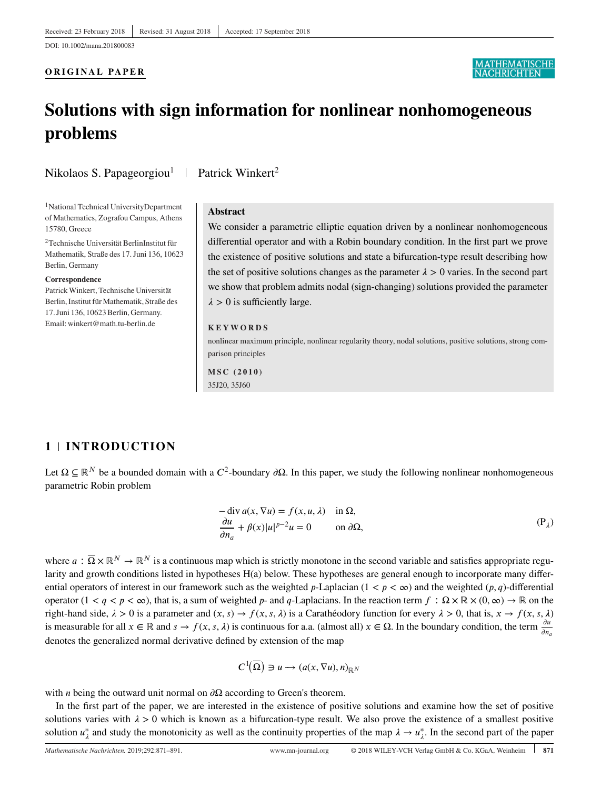### **ORIGINAL PAPER**

# **ATHEMATISCI**

# **Solutions with sign information for nonlinear nonhomogeneous problems**

Nikolaos S. Papageorgiou<sup>1</sup> | Patrick Winkert<sup>2</sup>

1National Technical UniversityDepartment of Mathematics, Zografou Campus, Athens 15780, Greece

2Technische Universität BerlinInstitut für Mathematik, Straße des 17. Juni 136, 10623 Berlin, Germany

#### **Correspondence**

PatrickWinkert, Technische Universität Berlin, Institut für Mathematik, Straße des 17. Juni 136, 10623 Berlin, Germany. Email: winkert@math.tu-berlin.de

#### **Abstract**

We consider a parametric elliptic equation driven by a nonlinear nonhomogeneous differential operator and with a Robin boundary condition. In the first part we prove the existence of positive solutions and state a bifurcation-type result describing how the set of positive solutions changes as the parameter  $\lambda > 0$  varies. In the second part we show that problem admits nodal (sign-changing) solutions provided the parameter  $\lambda > 0$  is sufficiently large.

#### **KEYWORDS**

nonlinear maximum principle, nonlinear regularity theory, nodal solutions, positive solutions, strong comparison principles

**MSC (2010)** 35J20, 35J60

# **1 INTRODUCTION**

Let  $\Omega \subseteq \mathbb{R}^N$  be a bounded domain with a  $C^2$ -boundary  $\partial \Omega$ . In this paper, we study the following nonlinear nonhomogeneous parametric Robin problem

$$
-\operatorname{div} a(x, \nabla u) = f(x, u, \lambda) \quad \text{in } \Omega,
$$
  
\n
$$
\frac{\partial u}{\partial n_a} + \beta(x)|u|^{p-2}u = 0 \qquad \text{on } \partial\Omega,
$$
  
\n(P<sub>\lambda</sub>)

where  $a : \overline{\Omega} \times \mathbb{R}^N \to \mathbb{R}^N$  is a continuous map which is strictly monotone in the second variable and satisfies appropriate regularity and growth conditions listed in hypotheses H(a) below. These hypotheses are general enough to incorporate many differential operators of interest in our framework such as the weighted p-Laplacian  $(1 < p < \infty)$  and the weighted  $(p, q)$ -differential operator  $(1 < q < p < \infty)$ , that is, a sum of weighted p- and q-Laplacians. In the reaction term  $f : \Omega \times \mathbb{R} \times (0, \infty) \to \mathbb{R}$  on the right-hand side,  $\lambda > 0$  is a parameter and  $(x, s) \rightarrow f(x, s, \lambda)$  is a Carathéodory function for every  $\lambda > 0$ , that is,  $x \rightarrow f(x, s, \lambda)$ is measurable for all  $x \in \mathbb{R}$  and  $s \to f(x, s, \lambda)$  is continuous for a.a. (almost all)  $x \in \Omega$ . In the boundary condition, the term  $\frac{\partial u}{\partial n_a}$ denotes the generalized normal derivative defined by extension of the map

$$
C^1(\overline{\Omega}) \ni u \to (a(x,\nabla u),n)_{\mathbb{R}^N}
$$

with *n* being the outward unit normal on  $\partial\Omega$  according to Green's theorem.

In the first part of the paper, we are interested in the existence of positive solutions and examine how the set of positive solutions varies with  $\lambda > 0$  which is known as a bifurcation-type result. We also prove the existence of a smallest positive solution  $u_{\lambda}^{*}$  and study the monotonicity as well as the continuity properties of the map  $\lambda \to u_{\lambda}^{*}$ . In the second part of the paper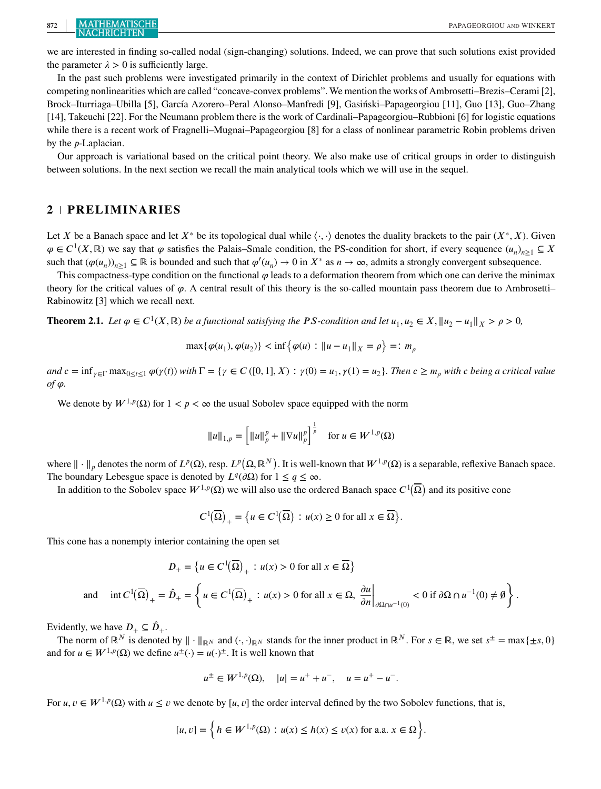we are interested in finding so-called nodal (sign-changing) solutions. Indeed, we can prove that such solutions exist provided the parameter  $\lambda > 0$  is sufficiently large.

In the past such problems were investigated primarily in the context of Dirichlet problems and usually for equations with competing nonlinearities which are called "concave-convex problems". We mention the works of Ambrosetti–Brezis–Cerami [2], Brock–Iturriaga–Ubilla [5], García Azorero–Peral Alonso–Manfredi [9], Gasiński–Papageorgiou [11], Guo [13], Guo–Zhang [14], Takeuchi [22]. For the Neumann problem there is the work of Cardinali–Papageorgiou–Rubbioni [6] for logistic equations while there is a recent work of Fragnelli–Mugnai–Papageorgiou [8] for a class of nonlinear parametric Robin problems driven by the  $p$ -Laplacian.

Our approach is variational based on the critical point theory. We also make use of critical groups in order to distinguish between solutions. In the next section we recall the main analytical tools which we will use in the sequel.

### **2 PRELIMINARIES**

Let X be a Banach space and let  $X^*$  be its topological dual while  $\langle \cdot, \cdot \rangle$  denotes the duality brackets to the pair  $(X^*, X)$ . Given  $\varphi \in C^1(X,\mathbb{R})$  we say that  $\varphi$  satisfies the Palais–Smale condition, the PS-condition for short, if every sequence  $(u_n)_{n\geq 1} \subseteq X$ such that  $(\varphi(u_n))_{n\geq 1} \subseteq \mathbb{R}$  is bounded and such that  $\varphi'(u_n) \to 0$  in  $X^*$  as  $n \to \infty$ , admits a strongly convergent subsequence.

This compactness-type condition on the functional  $\varphi$  leads to a deformation theorem from which one can derive the minimax theory for the critical values of  $\varphi$ . A central result of this theory is the so-called mountain pass theorem due to Ambrosetti– Rabinowitz [3] which we recall next.

**Theorem 2.1.** *Let*  $\varphi \in C^1(X, \mathbb{R})$  *be a functional satisfying the PS-condition and let*  $u_1, u_2 \in X$ ,  $||u_2 - u_1||_X > \rho > 0$ ,

$$
\max{\{\varphi(u_1), \varphi(u_2)\}} < \inf{\{\varphi(u) : \|u - u_1\|_X = \rho\}} =: m_\rho
$$

 $and$   $c = \inf_{\gamma \in \Gamma} \max_{0 \le t \le 1} \varphi(\gamma(t))$  with  $\Gamma = \{ \gamma \in C([0,1], X) : \gamma(0) = u_1, \gamma(1) = u_2 \}.$  Then  $c \ge m_\rho$  with  $c$  being a critical value  $of$  $\varphi$ .

We denote by  $W^{1,p}(\Omega)$  for  $1 < p < \infty$  the usual Sobolev space equipped with the norm

$$
||u||_{1,p} = \left[||u||_p^p + ||\nabla u||_p^p\right]^{\frac{1}{p}} \quad \text{for } u \in W^{1,p}(\Omega)
$$

where  $\|\cdot\|_p$  denotes the norm of  $L^p(\Omega)$ , resp.  $L^p(\Omega, \mathbb{R}^N)$ . It is well-known that  $W^{1,p}(\Omega)$  is a separable, reflexive Banach space. The boundary Lebesgue space is denoted by  $L^{q}(\partial\Omega)$  for  $1 \leq q \leq \infty$ .

In addition to the Sobolev space  $W^{1,p}(\Omega)$  we will also use the ordered Banach space  $C^1(\overline{\Omega})$  and its positive cone

$$
C^1(\overline{\Omega})_+ = \big\{ u \in C^1(\overline{\Omega}) \, : \, u(x) \ge 0 \text{ for all } x \in \overline{\Omega} \big\}.
$$

This cone has a nonempty interior containing the open set

$$
D_{+} = \left\{ u \in C^{1}(\overline{\Omega})_{+} : u(x) > 0 \text{ for all } x \in \overline{\Omega} \right\}
$$

and 
$$
\text{int } C^1(\overline{\Omega})_+ = \hat{D}_+ = \left\{ u \in C^1(\overline{\Omega})_+ : u(x) > 0 \text{ for all } x \in \Omega, \left. \frac{\partial u}{\partial n} \right|_{\partial \Omega \cap u^{-1}(0)} < 0 \text{ if } \partial \Omega \cap u^{-1}(0) \neq \emptyset \right\}.
$$

Evidently, we have  $D_+ \subseteq \hat{D}_+$ .

The norm of  $\mathbb{R}^N$  is denoted by  $\|\cdot\|_{\mathbb{R}^N}$  and  $(\cdot, \cdot)_{\mathbb{R}^N}$  stands for the inner product in  $\mathbb{R}^N$ . For  $s \in \mathbb{R}$ , we set  $s^{\pm} = \max\{\pm s, 0\}$ and for  $u \in W^{1,p}(\Omega)$  we define  $u^{\pm}(\cdot) = u(\cdot)^{\pm}$ . It is well known that

$$
u^{\pm} \in W^{1,p}(\Omega)
$$
,  $|u| = u^{+} + u^{-}$ ,  $u = u^{+} - u^{-}$ .

For  $u, v \in W^{1,p}(\Omega)$  with  $u \le v$  we denote by [*u*, *v*] the order interval defined by the two Sobolev functions, that is,

$$
[u, v] = \left\{ h \in W^{1, p}(\Omega) : u(x) \le h(x) \le v(x) \text{ for a.a. } x \in \Omega \right\}.
$$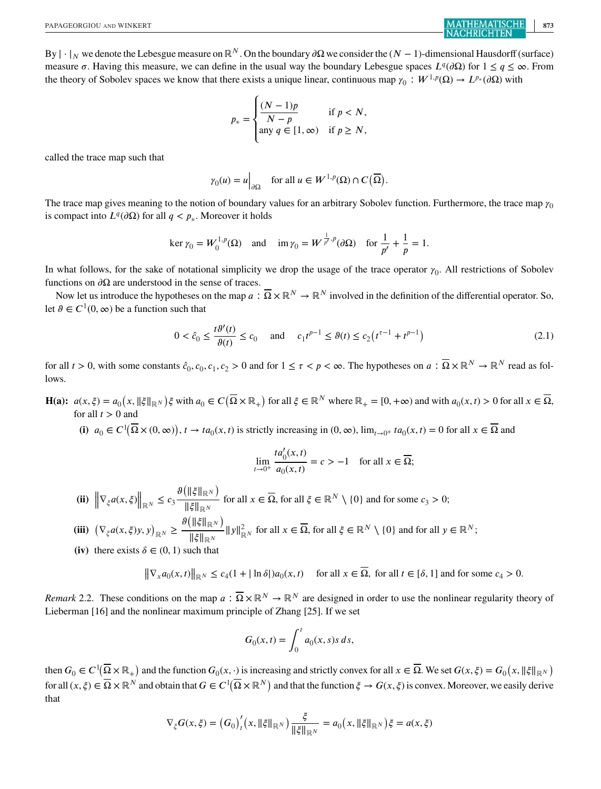By  $|\cdot|_N$  we denote the Lebesgue measure on  $\mathbb{R}^N$ . On the boundary  $\partial\Omega$  we consider the  $(N-1)$ -dimensional Hausdorff (surface) measure  $\sigma$ . Having this measure, we can define in the usual way the boundary Lebesgue spaces  $L^{q}(\partial\Omega)$  for  $1 \leq q \leq \infty$ . From the theory of Sobolev spaces we know that there exists a unique linear, continuous map  $\gamma_0 : W^{1,p}(\Omega) \to L^{p_*}(\partial \Omega)$  with

$$
p_* = \begin{cases} \frac{(N-1)p}{N-p} & \text{if } p < N, \\ \text{any } q \in [1, \infty) & \text{if } p \ge N, \end{cases}
$$

called the trace map such that

$$
\gamma_0(u) = u\Big|_{\partial\Omega}
$$
 for all  $u \in W^{1,p}(\Omega) \cap C(\overline{\Omega})$ .

The trace map gives meaning to the notion of boundary values for an arbitrary Sobolev function. Furthermore, the trace map  $\gamma_0$ is compact into  $L^q(\partial\Omega)$  for all  $q < p_*$ . Moreover it holds

$$
\ker \gamma_0 = W_0^{1,p}(\Omega) \text{ and } \text{im } \gamma_0 = W^{\frac{1}{p'},p}(\partial \Omega) \text{ for } \frac{1}{p'} + \frac{1}{p} = 1.
$$

In what follows, for the sake of notational simplicity we drop the usage of the trace operator  $\gamma_0$ . All restrictions of Sobolev functions on  $\partial\Omega$  are understood in the sense of traces.

Now let us introduce the hypotheses on the map  $a : \overline{\Omega} \times \mathbb{R}^N \to \mathbb{R}^N$  involved in the definition of the differential operator. So, let  $\theta \in C^1(0, \infty)$  be a function such that

$$
0 < \hat{c}_0 \le \frac{t\vartheta'(t)}{\vartheta(t)} \le c_0 \quad \text{and} \quad c_1 t^{p-1} \le \vartheta(t) \le c_2 \left( t^{\tau-1} + t^{p-1} \right) \tag{2.1}
$$

for all  $t > 0$ , with some constants  $\hat{c}_0, c_0, c_1, c_2 > 0$  and for  $1 \le \tau < p < \infty$ . The hypotheses on  $a : \overline{\Omega} \times \mathbb{R}^N \to \mathbb{R}^N$  read as follows.

**H(a):**  $a(x, \xi) = a_0(x, \|\xi\|_{\mathbb{R}^N})\xi$  with  $a_0 \in C(\overline{\Omega} \times \mathbb{R}_+)$  for all  $\xi \in \mathbb{R}^N$  where  $\mathbb{R}_+ = [0, +\infty)$  and with  $a_0(x, t) > 0$  for all  $x \in \overline{\Omega}$ , for all  $x \in \overline{\Omega}$ , for all  $t > 0$  and

(i)  $a_0 \in C^1(\overline{\Omega} \times (0, \infty))$ ,  $t \to ta_0(x, t)$  is strictly increasing in  $(0, \infty)$ ,  $\lim_{t \to 0^+} ta_0(x, t) = 0$  for all  $x \in \overline{\Omega}$  and

$$
\lim_{t \to 0^+} \frac{ta'_0(x, t)}{a_0(x, t)} = c > -1 \quad \text{for all } x \in \overline{\Omega};
$$

- **(ii)**  $\left\|\nabla_{\xi}a(x,\xi)\right\|_{\mathbb{R}^N} \leq c_3 \frac{\vartheta\left(\|\xi\|_{\mathbb{R}^N}\right)}{\|\xi\|_{\mathbb{R}^N}}$ <code>||ξ||</sup>RM</code> for all  $x \in \overline{\Omega}$ , for all  $\xi \in \mathbb{R}^N \setminus \{0\}$  and for some  $c_3 > 0$ ;
- **(iii)**  $\left(\nabla_{\xi} a(x,\xi) y, y\right)_{\mathbb{R}^N} \geq \frac{\vartheta\left(\|\xi\|_{\mathbb{R}^N}\right)}{\|\xi\|_{\mathbb{R}^N}}$  $\frac{\|\mathcal{L}\|_{\mathbb{R}^N}}{\|\xi\|_{\mathbb{R}^N}} \|y\|_{\mathbb{R}^N}^2$  for all  $x \in \overline{\Omega}$ , for all  $\xi \in \mathbb{R}^N \setminus \{0\}$  and for all  $y \in \mathbb{R}^N$ ;
- (iv) there exists  $\delta \in (0, 1)$  such that

$$
\|\nabla_x a_0(x,t)\|_{\mathbb{R}^N} \le c_4(1+|\ln \delta|)a_0(x,t) \quad \text{ for all } x \in \overline{\Omega}, \text{ for all } t \in [\delta, 1] \text{ and for some } c_4 > 0.
$$

*Remark* 2.2. These conditions on the map  $a : \overline{\Omega} \times \mathbb{R}^N \to \mathbb{R}^N$  are designed in order to use the nonlinear regularity theory of Lieberman [16] and the nonlinear maximum principle of Zhang [25]. If we set

$$
G_0(x,t) = \int_0^t a_0(x,s)s\,ds,
$$

then  $G_0 \in C^1(\overline{\Omega} \times \mathbb{R}_+)$  and the function  $G_0(x, \cdot)$  is increasing and strictly convex for all  $x \in \overline{\Omega}$ . We set  $G(x, \xi) = G_0(x, \|\xi\|_{\mathbb{R}^N})$ for all  $(x, \xi) \in \overline{\Omega} \times \mathbb{R}^N$  and obtain that  $G \in C^1(\overline{\Omega} \times \mathbb{R}^N)$  and that the function  $\xi \to G(x, \xi)$  is convex. Moreover, we easily derive that

$$
\nabla_{\xi} G(x,\xi) = (G_0)'_t(x,\|\xi\|_{\mathbb{R}^N}) \frac{\xi}{\|\xi\|_{\mathbb{R}^N}} = a_0(x,\|\xi\|_{\mathbb{R}^N}) \xi = a(x,\xi)
$$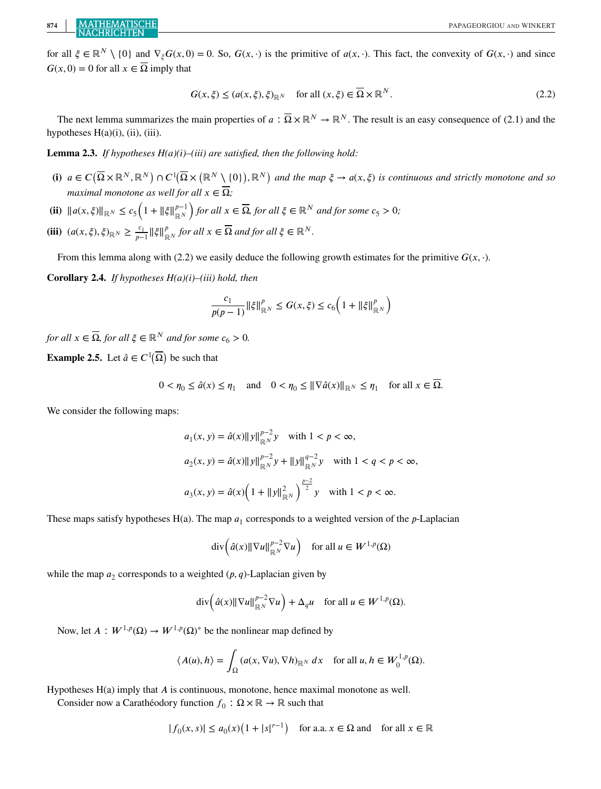for all  $\xi \in \mathbb{R}^N \setminus \{0\}$  and  $\nabla_{\xi} G(x, 0) = 0$ . So,  $G(x, \cdot)$  is the primitive of  $a(x, \cdot)$ . This fact, the convexity of  $G(x, \cdot)$  and since  $G(x, 0) = 0$  for all  $x \in \overline{\Omega}$  imply that

$$
G(x,\xi) \le (a(x,\xi),\xi)_{\mathbb{R}^N} \quad \text{for all } (x,\xi) \in \overline{\Omega} \times \mathbb{R}^N. \tag{2.2}
$$

The next lemma summarizes the main properties of  $a : \overline{\Omega} \times \mathbb{R}^N \to \mathbb{R}^N$ . The result is an easy consequence of (2.1) and the hypotheses  $H(a)(i)$ , (ii), (iii).

**Lemma 2.3.** *If hypotheses H(a)(i)–(iii) are satisfied, then the following hold:*

- $($ **i**)  $a \in C(\overline{\Omega} \times \mathbb{R}^N, \mathbb{R}^N) \cap C^1(\overline{\Omega} \times (\mathbb{R}^N \setminus \{0\}), \mathbb{R}^N)$  and the map  $\xi \to a(x, \xi)$  is continuous and strictly monotone and so *maximal monotone as well for all*  $x \in \overline{\Omega}$ *;*
- **(ii)**  $||a(x,\xi)||_{\mathbb{R}^N} \leq c_5 \left(1 + ||\xi||_{\mathbb{R}^N}^{p-1}\right)$ *for all*  $x \in \overline{\Omega}$ *, for all*  $\xi \in \mathbb{R}^N$  *and for some*  $c_5 > 0$ *;*
- $(\mathbf{iii})$   $(a(x, \xi), \xi)_{\mathbb{R}^N} \geq \frac{c_1}{p-1} \|\xi\|_{\mathbb{R}^N}^p$  for all  $x \in \overline{\Omega}$  and for all  $\xi \in \mathbb{R}^N$ .

From this lemma along with (2.2) we easily deduce the following growth estimates for the primitive  $G(x, \cdot)$ .

**Corollary 2.4.** *If hypotheses H(a)(i)–(iii) hold, then*

$$
\frac{c_1}{p(p-1)}\|\xi\|_{\mathbb{R}^N}^p\leq G(x,\xi)\leq c_6\Big(1+\|\xi\|_{\mathbb{R}^N}^p\Big)
$$

*for all*  $x \in \overline{\Omega}$ *, for all*  $\xi \in \mathbb{R}^N$  *and for some*  $c_6 > 0$ *.* 

**Example 2.5.** Let  $\hat{a} \in C^1(\overline{\Omega})$  be such that

$$
0 < \eta_0 \le \hat{a}(x) \le \eta_1 \quad \text{and} \quad 0 < \eta_0 \le \|\nabla \hat{a}(x)\|_{\mathbb{R}^N} \le \eta_1 \quad \text{for all } x \in \overline{\Omega}.
$$

We consider the following maps:

$$
a_1(x, y) = \hat{a}(x) ||y||_{\mathbb{R}^N}^{p-2} y \quad \text{with } 1 < p < \infty,
$$
\n
$$
a_2(x, y) = \hat{a}(x) ||y||_{\mathbb{R}^N}^{p-2} y + ||y||_{\mathbb{R}^N}^{q-2} y \quad \text{with } 1 < q < p < \infty,
$$
\n
$$
a_3(x, y) = \hat{a}(x) \left( 1 + ||y||_{\mathbb{R}^N}^2 \right)^{\frac{p-2}{2}} y \quad \text{with } 1 < p < \infty.
$$

These maps satisfy hypotheses  $H(a)$ . The map  $a_1$  corresponds to a weighted version of the p-Laplacian

$$
\mathrm{div}\Big(\hat{a}(x)\|\nabla u\|_{\mathbb{R}^N}^{p-2}\nabla u\Big)\quad\text{for all }u\in W^{1,p}(\Omega)
$$

while the map  $a_2$  corresponds to a weighted  $(p, q)$ -Laplacian given by

$$
\mathrm{div}\Big(\hat{a}(x)\|\nabla u\|_{\mathbb{R}^N}^{p-2}\nabla u\Big)+\Delta_q u\quad\text{for all }u\in W^{1,p}(\Omega).
$$

Now, let  $A: W^{1,p}(\Omega) \to W^{1,p}(\Omega)$ <sup>\*</sup> be the nonlinear map defined by

$$
\langle A(u), h \rangle = \int_{\Omega} \left( a(x, \nabla u), \nabla h \right)_{\mathbb{R}^N} dx \quad \text{for all } u, h \in W_0^{1, p}(\Omega).
$$

Hypotheses  $H(a)$  imply that  $A$  is continuous, monotone, hence maximal monotone as well.

Consider now a Carathéodory function  $f_0 : \Omega \times \mathbb{R} \to \mathbb{R}$  such that

$$
|f_0(x, s)| \le a_0(x) \left(1 + |s|^{r-1}\right) \quad \text{for a.a. } x \in \Omega \text{ and } \text{ for all } x \in \mathbb{R}
$$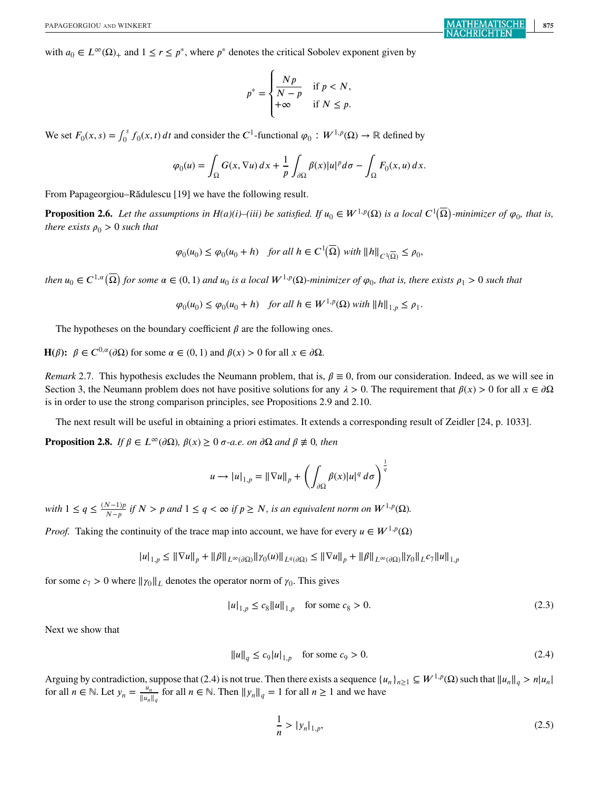with  $a_0 \in L^{\infty}(\Omega)$  and  $1 \le r \le p^*$ , where  $p^*$  denotes the critical Sobolev exponent given by

$$
p^* = \begin{cases} \frac{Np}{N-p} & \text{if } p < N, \\ +\infty & \text{if } N \leq p. \end{cases}
$$

We set  $F_0(x, s) = \int_0^s f_0(x, t) dt$  and consider the C<sup>1</sup>-functional  $\varphi_0 : W^{1,p}(\Omega) \to \mathbb{R}$  defined by

$$
\varphi_0(u) = \int_{\Omega} G(x, \nabla u) \, dx + \frac{1}{p} \int_{\partial \Omega} \beta(x) |u|^p d\sigma - \int_{\Omega} F_0(x, u) \, dx.
$$

From Papageorgiou–Rădulescu [19] we have the following result.

**Proposition 2.6.** Let the assumptions in H(a)(i)–(iii) be satisfied. If  $u_0 \in W^{1,p}(\Omega)$  is a local  $C^1(\overline{\Omega})$ -minimizer of  $\varphi_0$ , that is, *there exists*  $\rho_0 > 0$  *such that* 

$$
\varphi_0(u_0) \le \varphi_0(u_0 + h) \quad \text{for all } h \in C^1(\overline{\Omega}) \text{ with } ||h||_{C^1(\overline{\Omega})} \le \rho_0,
$$

*then*  $u_0 \in C^{1,a}(\overline{\Omega})$  for some  $\alpha \in (0,1)$  and  $u_0$  is a local  $W^{1,p}(\Omega)$ -minimizer of  $\varphi_0$ , that is, there exists  $\rho_1 > 0$  such that

 $\varphi_0(u_0) \leq \varphi_0(u_0 + h)$  *for all*  $h \in W^{1,p}(\Omega)$  *with*  $||h||_{1,p} \leq \rho_1$ .

The hypotheses on the boundary coefficient  $\beta$  are the following ones.

**H**( $\beta$ ):  $\beta \in C^{0,\alpha}(\partial\Omega)$  for some  $\alpha \in (0,1)$  and  $\beta(x) > 0$  for all  $x \in \partial\Omega$ .

*Remark* 2.7. This hypothesis excludes the Neumann problem, that is,  $\beta \equiv 0$ , from our consideration. Indeed, as we will see in Section 3, the Neumann problem does not have positive solutions for any  $\lambda > 0$ . The requirement that  $\beta(x) > 0$  for all  $x \in \partial \Omega$ is in order to use the strong comparison principles, see Propositions 2.9 and 2.10.

The next result will be useful in obtaining a priori estimates. It extends a corresponding result of Zeidler [24, p. 1033].

**Proposition 2.8.** *If*  $\beta \in L^{\infty}(\partial \Omega)$ ,  $\beta(x) \geq 0$   $\sigma$ -a.e. on  $\partial \Omega$  and  $\beta \not\equiv 0$ , then

$$
u \longrightarrow |u|_{1,p} = ||\nabla u||_p + \left(\int_{\partial \Omega} \beta(x)|u|^q \, d\sigma\right)^{\frac{1}{q}}
$$

*with*  $1 \leq q \leq \frac{(N-1)p}{N-p}$  *if*  $N > p$  *and*  $1 \leq q < \infty$  *if*  $p \geq N$ *, is an equivalent norm on*  $W^{1,p}(\Omega)$ *.* 

*Proof.* Taking the continuity of the trace map into account, we have for every  $u \in W^{1,p}(\Omega)$ 

$$
|u|_{1,p}\leq \|\nabla u\|_p+\|\beta\|_{L^\infty(\partial\Omega)}\|\gamma_0(u)\|_{L^q(\partial\Omega)}\leq \|\nabla u\|_p+\|\beta\|_{L^\infty(\partial\Omega)}\|\gamma_0\|_{L^q\eta}\|u\|_{1,p}
$$

for some  $c_7 > 0$  where  $||\gamma_0||_L$  denotes the operator norm of  $\gamma_0$ . This gives

$$
|u|_{1,p} \le c_8 \|u\|_{1,p} \quad \text{for some } c_8 > 0. \tag{2.3}
$$

Next we show that

$$
||u||_q \le c_9 |u|_{1,p} \quad \text{for some } c_9 > 0. \tag{2.4}
$$

Arguing by contradiction, suppose that (2.4) is not true. Then there exists a sequence  $\{u_n\}_{n\geq 1} \subseteq W^{1,p}(\Omega)$  such that  $||u_n||_q > n|u_n|$  for all  $n \in \mathbb{N}$ . Let  $y_n = \frac{u_n}{||u_n||_q}$  for all  $n \in \mathbb{N}$ . Then  $||y_n||_q = 1$  f

$$
\frac{1}{n} > |y_n|_{1,p},\tag{2.5}
$$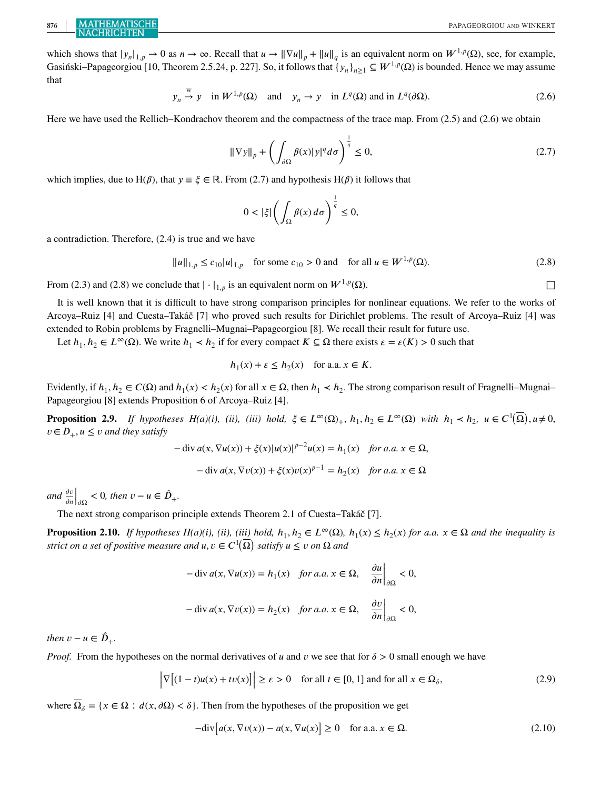# **876 MATHEMATISCHE PAPAGEORGIOU** AND WINKERT

which shows that  $|y_n|_{1,p} \to 0$  as  $n \to \infty$ . Recall that  $u \to ||\nabla u||_p + ||u||_q$  is an equivalent norm on  $W^{1,p}(\Omega)$ , see, for example, Gasiński–Papageorgiou [10, Theorem 2.5.24, p. 227]. So, it follows that  $\{y_n\}_{n\geq 1} \subseteq W^{1,p}(\Omega)$  is bounded. Hence we may assume that

$$
y_n \stackrel{w}{\rightarrow} y
$$
 in  $W^{1,p}(\Omega)$  and  $y_n \rightarrow y$  in  $L^q(\Omega)$  and in  $L^q(\partial\Omega)$ . (2.6)

Here we have used the Rellich–Kondrachov theorem and the compactness of the trace map. From (2.5) and (2.6) we obtain

$$
\|\nabla y\|_{p} + \left(\int_{\partial\Omega} \beta(x)|y|^{q} d\sigma\right)^{\frac{1}{q}} \leq 0,
$$
\n(2.7)

which implies, due to H( $\beta$ ), that  $y \equiv \xi \in \mathbb{R}$ . From (2.7) and hypothesis H( $\beta$ ) it follows that

$$
0 < |\xi| \left( \int_{\Omega} \beta(x) \, d\sigma \right)^{\frac{1}{q}} \leq 0,
$$

a contradiction. Therefore, (2.4) is true and we have

$$
||u||_{1,p} \le c_{10}|u|_{1,p} \quad \text{for some } c_{10} > 0 \text{ and } \quad \text{for all } u \in W^{1,p}(\Omega). \tag{2.8}
$$

From (2.3) and (2.8) we conclude that  $|\cdot|_{1,p}$  is an equivalent norm on  $W^{1,p}(\Omega)$ .

It is well known that it is difficult to have strong comparison principles for nonlinear equations. We refer to the works of Arcoya–Ruiz [4] and Cuesta–Takáč [7] who proved such results for Dirichlet problems. The result of Arcoya–Ruiz [4] was extended to Robin problems by Fragnelli–Mugnai–Papageorgiou [8]. We recall their result for future use.

Let  $h_1, h_2 \in L^{\infty}(\Omega)$ . We write  $h_1 \prec h_2$  if for every compact  $K \subseteq \Omega$  there exists  $\varepsilon = \varepsilon(K) > 0$  such that

$$
h_1(x) + \varepsilon \le h_2(x) \quad \text{for a.a. } x \in K.
$$

Evidently, if  $h_1, h_2 \in C(\Omega)$  and  $h_1(x) < h_2(x)$  for all  $x \in \Omega$ , then  $h_1 < h_2$ . The strong comparison result of Fragnelli–Mugnai– Papageorgiou [8] extends Proposition 6 of Arcoya–Ruiz [4].

**Proposition 2.9.** *If hypotheses H(a)(i), (ii), (iii) hold,*  $\xi \in L^{\infty}(\Omega)_{+}$ ,  $h_1, h_2 \in L^{\infty}(\Omega)$  *with*  $h_1 \prec h_2$ ,  $u \in C^1(\overline{\Omega})$ ,  $u \neq 0$ ,  $v \in D_+$ ,  $u \le v$  and they satisfy

$$
-\operatorname{div} a(x, \nabla u(x)) + \xi(x)|u(x)|^{p-2}u(x) = h_1(x) \quad \text{for a.a. } x \in \Omega,
$$
  

$$
-\operatorname{div} a(x, \nabla v(x)) + \xi(x)v(x)^{p-1} = h_2(x) \quad \text{for a.a. } x \in \Omega
$$

*and*  $\frac{\partial v}{\partial n}\Big|_{\partial\Omega}$ <br>The new  $<$  0*, then*  $v - u \in \hat{D}_+$ .

The next strong comparison principle extends Theorem 2.1 of Cuesta–Takáč [7].

**Proposition 2.10.** *If hypotheses H(a)(i), (ii), (iii) hold,*  $h_1, h_2 \in L^{\infty}(\Omega)$ ,  $h_1(x) \leq h_2(x)$  *for a.a.*  $x \in \Omega$  *and the inequality is strict on a set of positive measure and*  $u, v \in C^1(\overline{\Omega})$  *satisfy*  $u \le v$  *on*  $\Omega$  *and* 

$$
-\operatorname{div} a(x, \nabla u(x)) = h_1(x) \quad \text{for a.a. } x \in \Omega, \quad \left. \frac{\partial u}{\partial n} \right|_{\partial \Omega} < 0,
$$
\n
$$
-\operatorname{div} a(x, \nabla v(x)) = h_2(x) \quad \text{for a.a. } x \in \Omega, \quad \left. \frac{\partial v}{\partial n} \right|_{\partial \Omega} < 0,
$$

*then*  $v - u \in \hat{D}_+$ .

*Proof.* From the hypotheses on the normal derivatives of u and v we see that for  $\delta > 0$  small enough we have

$$
\left|\nabla\left[(1-t)u(x)+tv(x)\right]\right| \ge \varepsilon > 0 \quad \text{for all } t \in [0,1] \text{ and for all } x \in \overline{\Omega}_{\delta},\tag{2.9}
$$

where  $\overline{\Omega}_{\delta} = \{x \in \Omega : d(x, \partial \Omega) < \delta\}$ . Then from the hypotheses of the proposition we get

$$
-div[a(x, \nabla v(x)) - a(x, \nabla u(x)] \ge 0 \quad \text{for a.a. } x \in \Omega.
$$
 (2.10)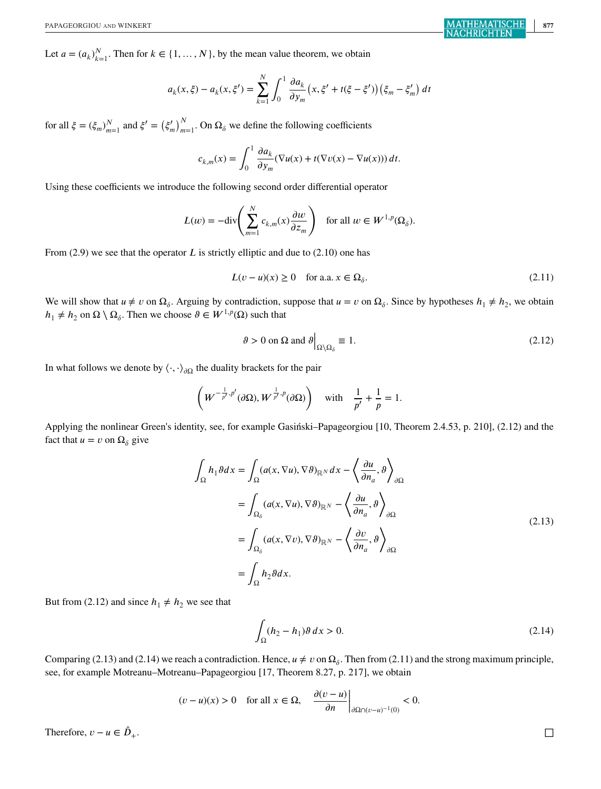Let  $a = (a_k)_{k=1}^N$ . Then for  $k \in \{1, ..., N\}$ , by the mean value theorem, we obtain

$$
a_k(x,\xi) - a_k(x,\xi') = \sum_{k=1}^N \int_0^1 \frac{\partial a_k}{\partial y_m} (x,\xi' + t(\xi - \xi')) (\xi_m - \xi'_m) dt
$$

for all  $\xi = (\xi_m)_{m=1}^N$  and  $\xi' = (\xi'_m)_{m=1}^N$ . On  $\Omega_\delta$  we define the following coefficients

$$
c_{k,m}(x) = \int_0^1 \frac{\partial a_k}{\partial y_m} (\nabla u(x) + t(\nabla v(x) - \nabla u(x))) dt.
$$

Using these coefficients we introduce the following second order differential operator

$$
L(w) = -\text{div}\left(\sum_{m=1}^N c_{k,m}(x)\frac{\partial w}{\partial z_m}\right) \quad \text{for all } w \in W^{1,p}(\Omega_\delta).
$$

From  $(2.9)$  we see that the operator L is strictly elliptic and due to  $(2.10)$  one has

$$
L(v - u)(x) \ge 0 \quad \text{for a.a. } x \in \Omega_{\delta}.\tag{2.11}
$$

We will show that  $u \neq v$  on  $\Omega_{\delta}$ . Arguing by contradiction, suppose that  $u = v$  on  $\Omega_{\delta}$ . Since by hypotheses  $h_1 \neq h_2$ , we obtain  $h_1 \neq h_2$  on  $\Omega \setminus \Omega_\delta$ . Then we choose  $\vartheta \in W^{1,p}(\Omega)$  such that

$$
\vartheta > 0 \text{ on } \Omega \text{ and } \vartheta \Big|_{\Omega \setminus \Omega_{\delta}} \equiv 1. \tag{2.12}
$$

In what follows we denote by  $\langle \cdot, \cdot \rangle_{\partial \Omega}$  the duality brackets for the pair

$$
\left(W^{-\frac{1}{p'},p'}(\partial\Omega),W^{\frac{1}{p'},p}(\partial\Omega)\right) \text{ with } \frac{1}{p'}+\frac{1}{p}=1.
$$

Applying the nonlinear Green's identity, see, for example Gasiński–Papageorgiou [10, Theorem 2.4.53, p. 210], (2.12) and the fact that  $u = v$  on  $\Omega_{\delta}$  give

$$
\int_{\Omega} h_1 \vartheta dx = \int_{\Omega} (a(x, \nabla u), \nabla \vartheta)_{\mathbb{R}^N} dx - \left\langle \frac{\partial u}{\partial n_a}, \vartheta \right\rangle_{\partial \Omega}
$$
\n
$$
= \int_{\Omega_{\delta}} (a(x, \nabla u), \nabla \vartheta)_{\mathbb{R}^N} - \left\langle \frac{\partial u}{\partial n_a}, \vartheta \right\rangle_{\partial \Omega}
$$
\n
$$
= \int_{\Omega_{\delta}} (a(x, \nabla v), \nabla \vartheta)_{\mathbb{R}^N} - \left\langle \frac{\partial v}{\partial n_a}, \vartheta \right\rangle_{\partial \Omega}
$$
\n
$$
= \int_{\Omega} h_2 \vartheta dx.
$$
\n(2.13)

But from (2.12) and since  $h_1 \neq h_2$  we see that

$$
\int_{\Omega} (h_2 - h_1) \vartheta \, dx > 0. \tag{2.14}
$$

Comparing (2.13) and (2.14) we reach a contradiction. Hence,  $u \neq v$  on  $\Omega_{\delta}$ . Then from (2.11) and the strong maximum principle, see, for example Motreanu–Motreanu–Papageorgiou [17, Theorem 8.27, p. 217], we obtain

$$
(v - u)(x) > 0
$$
 for all  $x \in \Omega$ ,  $\left. \frac{\partial (v - u)}{\partial n} \right|_{\partial \Omega \cap (v - u)^{-1}(0)} < 0.$ 

Therefore,  $v - u \in \hat{D}_+$ .

+. □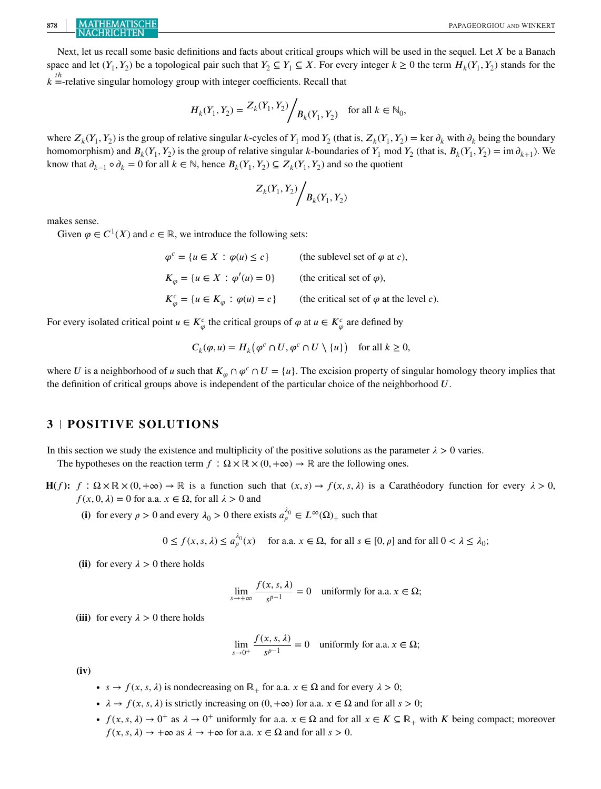Next, let us recall some basic definitions and facts about critical groups which will be used in the sequel. Let  $X$  be a Banach space and let  $(Y_1, Y_2)$  be a topological pair such that  $Y_2 \subseteq Y_1 \subseteq X$ . For every integer  $k \ge 0$  the term  $H_k(Y_1, Y_2)$  stands for the  $k =$ -relative singular homology group with integer coefficients. Recall that

$$
H_k(Y_1, Y_2) = \frac{Z_k(Y_1, Y_2)}{Z_k(Y_1, Y_2)}
$$
 for all  $k \in \mathbb{N}_0$ ,

where  $Z_k(Y_1, Y_2)$  is the group of relative singular k-cycles of  $Y_1$  mod  $Y_2$  (that is,  $Z_k(Y_1, Y_2) = \text{ker } \partial_k$  with  $\partial_k$  being the boundary homomorphism) and  $B_k(Y_1, Y_2)$  is the group of relative singular k-boundaries of  $Y_1$  mod  $Y_2$  (that is,  $B_k(Y_1, Y_2) = \text{im } \partial_{k+1}$ ). We know that  $\partial_{k-1} \circ \partial_k = 0$  for all  $k \in \mathbb{N}$ , hence  $B_k(Y_1, Y_2) \subseteq Z_k(Y_1, Y_2)$  and so the quotient

$$
Z_k(Y_1, Y_2) / B_k(Y_1, Y_2)
$$

makes sense.

Given  $\varphi \in C^1(X)$  and  $c \in \mathbb{R}$ , we introduce the following sets:

 $\varphi^c = \{ u \in X : \varphi(u) \le c \}$  (the sublevel set of  $\varphi$  at c),  $K_{\varphi} = \{ u \in X : \varphi'(u) = 0 \}$  (the critical set of  $\varphi$ ),  $K_{\varphi}^{c} = \{ u \in K_{\varphi} : \varphi(u) = c \}$  (the critical set of  $\varphi$  at the level c).

For every isolated critical point  $u \in K^c_\varphi$  the critical groups of  $\varphi$  at  $u \in K^c_\varphi$  are defined by

$$
C_k(\varphi, u) = H_k(\varphi^c \cap U, \varphi^c \cap U \setminus \{u\}) \quad \text{for all } k \ge 0,
$$

where U is a neighborhood of u such that  $K_{\varphi} \cap \varphi^c \cap U = \{u\}$ . The excision property of singular homology theory implies that the definition of critical groups above is independent of the particular choice of the neighborhood  $U$ .

## **3 POSITIVE SOLUTIONS**

In this section we study the existence and multiplicity of the positive solutions as the parameter  $\lambda > 0$  varies.

The hypotheses on the reaction term  $f : \Omega \times \mathbb{R} \times (0, +\infty) \to \mathbb{R}$  are the following ones.

- **H**(*f*):  $f : \Omega \times \mathbb{R} \times (0, +\infty) \rightarrow \mathbb{R}$  is a function such that  $(x, s) \rightarrow f(x, s, \lambda)$  is a Carathéodory function for every  $\lambda > 0$ ,  $f(x, 0, \lambda) = 0$  for a.a.  $x \in \Omega$ , for all  $\lambda > 0$  and
	- (i) for every  $\rho > 0$  and every  $\lambda_0 > 0$  there exists  $a_{\rho}^{\lambda_0} \in L^{\infty}(\Omega)$  such that

$$
0 \le f(x, s, \lambda) \le a_{\rho}^{\lambda_0}(x) \quad \text{ for a.a. } x \in \Omega, \text{ for all } s \in [0, \rho] \text{ and for all } 0 < \lambda \le \lambda_0;
$$

(ii) for every  $\lambda > 0$  there holds

$$
\lim_{s \to +\infty} \frac{f(x, s, \lambda)}{s^{p-1}} = 0 \quad \text{uniformly for a.a. } x \in \Omega;
$$

(iii) for every  $\lambda > 0$  there holds

$$
\lim_{s \to 0^+} \frac{f(x, s, \lambda)}{s^{p-1}} = 0 \quad \text{uniformly for a.a. } x \in \Omega;
$$

**(iv)**

- $s \to f(x, s, \lambda)$  is nondecreasing on  $\mathbb{R}_+$  for a.a.  $x \in \Omega$  and for every  $\lambda > 0$ ;
- $\lambda \to f(x, s, \lambda)$  is strictly increasing on  $(0, +\infty)$  for a.a.  $x \in \Omega$  and for all  $s > 0$ ;
- $f(x, s, \lambda) \to 0^+$  as  $\lambda \to 0^+$  uniformly for a.a.  $x \in \Omega$  and for all  $x \in K \subseteq \mathbb{R}_+$  with K being compact; moreover  $f(x, s, \lambda) \rightarrow +\infty$  as  $\lambda \rightarrow +\infty$  for a.a.  $x \in \Omega$  and for all  $s > 0$ .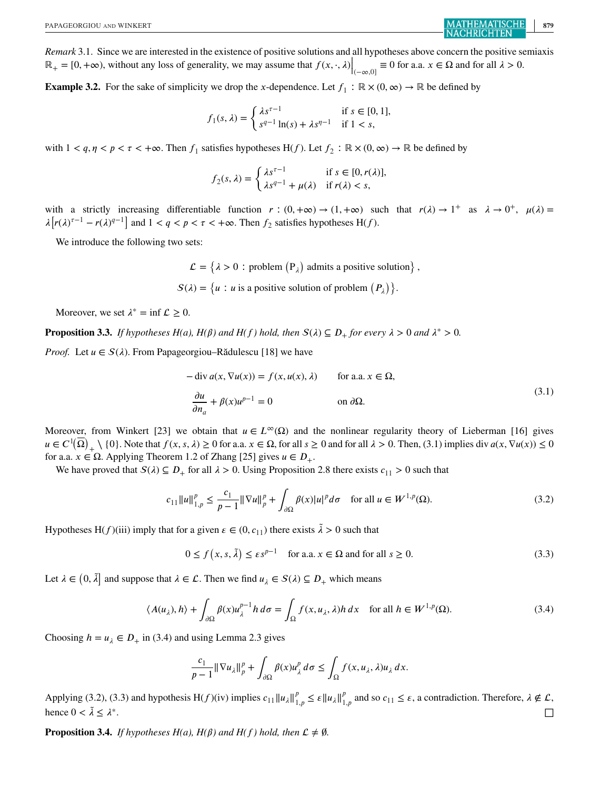*Remark* 3.1. Since we are interested in the existence of positive solutions and all hypotheses above concern the positive semiaxis  $\mathbb{R}_+ = [0, +\infty)$ , without any loss of generality, we may assume that  $f(x, \cdot, \lambda) \Big|_{(-\infty, 0]} \equiv 0$  for a.a.  $x \in \Omega$  and for all  $\lambda > 0$ .

**Example 3.2.** For the sake of simplicity we drop the x-dependence. Let  $f_1 : \mathbb{R} \times (0, \infty) \to \mathbb{R}$  be defined by

$$
f_1(s,\lambda) = \begin{cases} \lambda s^{\tau - 1} & \text{if } s \in [0, 1], \\ s^{q - 1} \ln(s) + \lambda s^{q - 1} & \text{if } 1 < s, \end{cases}
$$

with  $1 < q, \eta < p < \tau < +\infty$ . Then  $f_1$  satisfies hypotheses H(f). Let  $f_2 : \mathbb{R} \times (0, \infty) \to \mathbb{R}$  be defined by

$$
f_2(s,\lambda) = \begin{cases} \lambda s^{\tau-1} & \text{if } s \in [0, r(\lambda)], \\ \lambda s^{q-1} + \mu(\lambda) & \text{if } r(\lambda) < s, \end{cases}
$$

with a strictly increasing differentiable function  $r : (0, +\infty) \to (1, +\infty)$  such that  $r(\lambda) \to 1^+$  as  $\lambda \to 0^+$ ,  $\mu(\lambda) =$  $\lambda [r(\lambda)^{\tau-1} - r(\lambda)^{q-1}]$  and  $1 < q < p < \tau < +\infty$ . Then  $f_2$  satisfies hypotheses H(f).

We introduce the following two sets:

 $\mathcal{L} = \{ \lambda > 0 : \text{problem} (P_{\lambda}) \text{ admits a positive solution} \},$  $S(\lambda) = \{u : u \text{ is a positive solution of problem } (P_{\lambda})\}.$ 

Moreover, we set  $\lambda^* = \inf \mathcal{L} \geq 0$ .

**Proposition 3.3.** *If hypotheses H(a), H(* $\beta$ *) and H(f) hold, then*  $S(\lambda) \subseteq D_+$  *for every*  $\lambda > 0$  *and*  $\lambda^* > 0$ .

*Proof.* Let  $u \in S(\lambda)$ . From Papageorgiou–Rădulescu [18] we have

$$
-\operatorname{div} a(x, \nabla u(x)) = f(x, u(x), \lambda) \quad \text{for a.a. } x \in \Omega,
$$
  

$$
\frac{\partial u}{\partial n_a} + \beta(x)u^{p-1} = 0 \quad \text{on } \partial\Omega.
$$
 (3.1)

Moreover, from Winkert [23] we obtain that  $u \in L^{\infty}(\Omega)$  and the nonlinear regularity theory of Lieberman [16] gives  $u \in C^1(\overline{\Omega})_+ \setminus \{0\}$ . Note that  $f(x, s, \lambda) \ge 0$  for a.a.  $x \in \Omega$ , for all  $s \ge 0$  and for all  $\lambda > 0$ . Then, (3.1) implies div  $a(x, \nabla u(x)) \le 0$ for a.a.  $x \in \Omega$ . Applying Theorem 1.2 of Zhang [25] gives  $u \in D_+$ .

We have proved that  $S(\lambda) \subseteq D_+$  for all  $\lambda > 0$ . Using Proposition 2.8 there exists  $c_{11} > 0$  such that

$$
c_{11} \|u\|_{1,p}^p \le \frac{c_1}{p-1} \|\nabla u\|_p^p + \int_{\partial \Omega} \beta(x) |u|^p d\sigma \quad \text{for all } u \in W^{1,p}(\Omega). \tag{3.2}
$$

Hypotheses H(f)(iii) imply that for a given  $\epsilon \in (0, c_{11})$  there exists  $\tilde{\lambda} > 0$  such that

$$
0 \le f(x, s, \tilde{\lambda}) \le \varepsilon s^{p-1} \quad \text{for a.a. } x \in \Omega \text{ and for all } s \ge 0.
$$
 (3.3)

Let  $\lambda \in (0, \tilde{\lambda}]$  and suppose that  $\lambda \in \mathcal{L}$ . Then we find  $u_{\lambda} \in S(\lambda) \subseteq D_+$  which means

$$
\langle A(u_{\lambda}), h \rangle + \int_{\partial \Omega} \beta(x) u_{\lambda}^{p-1} h \, d\sigma = \int_{\Omega} f(x, u_{\lambda}, \lambda) h \, dx \quad \text{for all } h \in W^{1, p}(\Omega). \tag{3.4}
$$

Choosing  $h = u_{\lambda} \in D_+$  in (3.4) and using Lemma 2.3 gives

$$
\frac{c_1}{p-1} \|\nabla u_\lambda\|_p^p + \int_{\partial\Omega} \beta(x) u_\lambda^p \, d\sigma \le \int_{\Omega} f(x, u_\lambda, \lambda) u_\lambda \, dx.
$$

Applying (3.2), (3.3) and hypothesis H(f)(iv) implies  $c_{11} ||u_\lambda||_{1,p}^p \le \varepsilon ||u_\lambda||_{1,p}^p$  and so  $c_{11} \le \varepsilon$ , a contradiction. Therefore,  $\lambda \notin \mathcal{L}$ , hence  $0 < \tilde{\lambda} \leq \lambda^*$ .

**Proposition 3.4.** *If hypotheses H(a), H(* $\beta$ *) and H(f) hold, then*  $\mathcal{L} \neq \emptyset$ *.*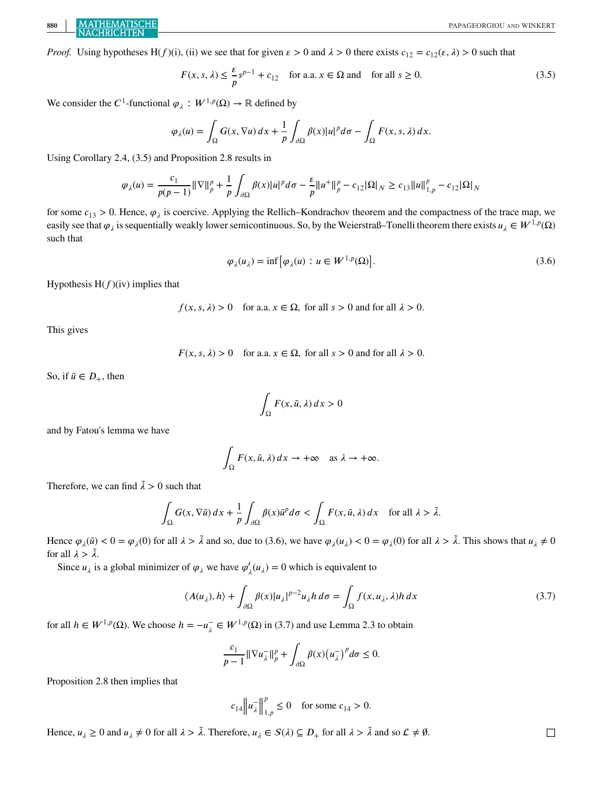**880** PAPAGEORGIOU AND WINKERT

*Proof.* Using hypotheses H(f)(i), (ii) we see that for given  $\epsilon > 0$  and  $\lambda > 0$  there exists  $c_{12} = c_{12}(\epsilon, \lambda) > 0$  such that

$$
F(x, s, \lambda) \le \frac{\varepsilon}{p} s^{p-1} + c_{12} \quad \text{for a.a. } x \in \Omega \text{ and } \text{ for all } s \ge 0.
$$
 (3.5)

We consider the C<sup>1</sup>-functional  $\varphi_{\lambda}: W^{1,p}(\Omega) \to \mathbb{R}$  defined by

$$
\varphi_{\lambda}(u) = \int_{\Omega} G(x, \nabla u) \, dx + \frac{1}{p} \int_{\partial \Omega} \beta(x) |u|^p \, d\sigma - \int_{\Omega} F(x, s, \lambda) \, dx.
$$

Using Corollary 2.4, (3.5) and Proposition 2.8 results in

$$
\varphi_{\lambda}(u) = \frac{c_1}{p(p-1)} \|\nabla\|_{p}^{p} + \frac{1}{p} \int_{\partial\Omega} \beta(x)|u|^{p} d\sigma - \frac{\varepsilon}{p} \|u^{+}\|_{p}^{p} - c_{12}|\Omega|_{N} \ge c_{13} \|u\|_{1,p}^{p} - c_{12}|\Omega|_{N}
$$

for some  $c_{13} > 0$ . Hence,  $\varphi_{\lambda}$  is coercive. Applying the Rellich–Kondrachov theorem and the compactness of the trace map, we easily see that  $\varphi_{\lambda}$  is sequentially weakly lower semicontinuous. So, by the Weierstraß–Tonelli theorem there exists  $u_{\lambda} \in W^{1,p}(\Omega)$ such that

$$
\varphi_{\lambda}(u_{\lambda}) = \inf \left[ \varphi_{\lambda}(u) : u \in W^{1,p}(\Omega) \right]. \tag{3.6}
$$

Hypothesis  $H(f)(iv)$  implies that

 $f(x, s, \lambda) > 0$  for a.a.  $x \in \Omega$ , for all  $s > 0$  and for all  $\lambda > 0$ .

This gives

 $F(x, s, \lambda) > 0$  for a.a.  $x \in \Omega$ , for all  $s > 0$  and for all  $\lambda > 0$ .

So, if  $\tilde{u} \in D_+$ , then

$$
\int_{\Omega} F(x, \tilde{u}, \lambda) dx > 0
$$

and by Fatou's lemma we have

$$
\int_{\Omega} F(x, \tilde{u}, \lambda) dx \to +\infty \quad \text{as } \lambda \to +\infty.
$$

Therefore, we can find  $\lambda > 0$  such that

$$
\int_{\Omega} G(x, \nabla \tilde{u}) dx + \frac{1}{p} \int_{\partial \Omega} \beta(x) \tilde{u}^p d\sigma < \int_{\Omega} F(x, \tilde{u}, \lambda) dx \quad \text{for all } \lambda > \tilde{\lambda}.
$$

Hence  $\varphi_{\lambda}(\tilde{u}) < 0 = \varphi_{\lambda}(0)$  for all  $\lambda > \tilde{\lambda}$  and so, due to (3.6), we have  $\varphi_{\lambda}(u_{\lambda}) < 0 = \varphi_{\lambda}(0)$  for all  $\lambda > \tilde{\lambda}$ . This shows that  $u_{\lambda} \neq 0$ for all  $\lambda > \tilde{\lambda}$ .

Since  $u_{\lambda}$  is a global minimizer of  $\varphi_{\lambda}$  we have  $\varphi'_{\lambda}(u_{\lambda})=0$  which is equivalent to

$$
\langle A(u_{\lambda}), h \rangle + \int_{\partial \Omega} \beta(x) |u_{\lambda}|^{p-2} u_{\lambda} h \, d\sigma = \int_{\Omega} f(x, u_{\lambda}, \lambda) h \, dx \tag{3.7}
$$

for all  $h \in W^{1,p}(\Omega)$ . We choose  $h = -u_{\lambda}^- \in W^{1,p}(\Omega)$  in (3.7) and use Lemma 2.3 to obtain

$$
\frac{c_1}{p-1} \|\nabla u_{\lambda}^{-}\|_p^p + \int_{\partial\Omega} \beta(x) \big(u_{\lambda}^{-}\big)^p d\sigma \leq 0.
$$

Proposition 2.8 then implies that

$$
c_{14} ||u_{\lambda}||_{1,p}^p \le 0
$$
 for some  $c_{14} > 0$ .

Hence,  $u_{\lambda} \ge 0$  and  $u_{\lambda} \ne 0$  for all  $\lambda > \tilde{\lambda}$ . Therefore,  $u_{\lambda} \in S(\lambda) \subseteq D_+$  for all  $\lambda > \tilde{\lambda}$  and so  $\mathcal{L} \ne \emptyset$ .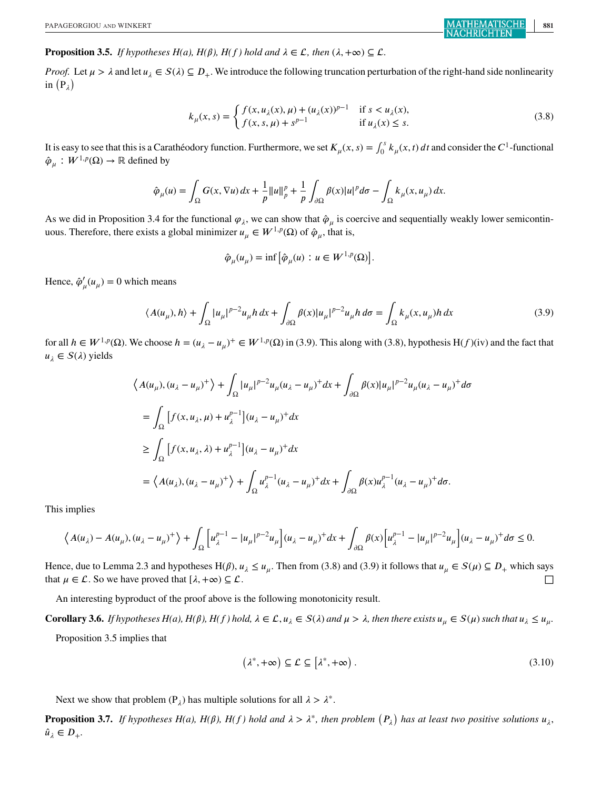#### **Proposition 3.5.** *If hypotheses H(a), H(f) hold and*  $\lambda \in \mathcal{L}$ , then  $(\lambda, +\infty) \subset \mathcal{L}$ .

*Proof.* Let  $\mu > \lambda$  and let  $u_{\lambda} \in S(\lambda) \subseteq D_+$ . We introduce the following truncation perturbation of the right-hand side nonlinearity in  $(P_\lambda)$ 

$$
k_{\mu}(x,s) = \begin{cases} f(x, u_{\lambda}(x), \mu) + (u_{\lambda}(x))^{p-1} & \text{if } s < u_{\lambda}(x), \\ f(x, s, \mu) + s^{p-1} & \text{if } u_{\lambda}(x) \le s. \end{cases}
$$
(3.8)

It is easy to see that this is a Carathéodory function. Furthermore, we set  $K_\mu(x, s) = \int_0^s k_\mu(x, t) dt$  and consider the  $C^1$ -functional  $\hat{\varphi}_u : W^{1,p}(\Omega) \to \mathbb{R}$  defined by

$$
\hat{\varphi}_{\mu}(u) = \int_{\Omega} G(x, \nabla u) dx + \frac{1}{p} ||u||_{p}^{p} + \frac{1}{p} \int_{\partial \Omega} \beta(x) |u|^{p} d\sigma - \int_{\Omega} k_{\mu}(x, u_{\mu}) dx.
$$

As we did in Proposition 3.4 for the functional  $\varphi_{\lambda}$ , we can show that  $\hat{\varphi}_{\mu}$  is coercive and sequentially weakly lower semicontinuous. Therefore, there exists a global minimizer  $u_{\mu} \in W^{1,p}(\Omega)$  of  $\hat{\varphi}_{\mu}$ , that is,

$$
\hat{\varphi}_{\mu}(u_{\mu}) = \inf \left[ \hat{\varphi}_{\mu}(u) : u \in W^{1,p}(\Omega) \right].
$$

Hence,  $\hat{\varphi}'_{\mu}(u_{\mu})=0$  which means

$$
\langle A(u_{\mu}), h \rangle + \int_{\Omega} |u_{\mu}|^{p-2} u_{\mu} h \, dx + \int_{\partial \Omega} \beta(x) |u_{\mu}|^{p-2} u_{\mu} h \, d\sigma = \int_{\Omega} k_{\mu}(x, u_{\mu}) h \, dx \tag{3.9}
$$

for all  $h \in W^{1,p}(\Omega)$ . We choose  $h = (u_{\lambda} - u_{\mu})^+ \in W^{1,p}(\Omega)$  in (3.9). This along with (3.8), hypothesis H(f)(iv) and the fact that  $u_{\lambda} \in S(\lambda)$  yields

$$
\langle A(u_{\mu}), (u_{\lambda} - u_{\mu})^{+} \rangle + \int_{\Omega} |u_{\mu}|^{p-2} u_{\mu} (u_{\lambda} - u_{\mu})^{+} dx + \int_{\partial \Omega} \beta(x) |u_{\mu}|^{p-2} u_{\mu} (u_{\lambda} - u_{\mu})^{+} d\sigma
$$
  
\n
$$
= \int_{\Omega} \left[ f(x, u_{\lambda}, \mu) + u_{\lambda}^{p-1} \right] (u_{\lambda} - u_{\mu})^{+} dx
$$
  
\n
$$
\geq \int_{\Omega} \left[ f(x, u_{\lambda}, \lambda) + u_{\lambda}^{p-1} \right] (u_{\lambda} - u_{\mu})^{+} dx
$$
  
\n
$$
= \langle A(u_{\lambda}), (u_{\lambda} - u_{\mu})^{+} \rangle + \int_{\Omega} u_{\lambda}^{p-1} (u_{\lambda} - u_{\mu})^{+} dx + \int_{\partial \Omega} \beta(x) u_{\lambda}^{p-1} (u_{\lambda} - u_{\mu})^{+} d\sigma.
$$

This implies

$$
\left\langle A(u_\lambda) - A(u_\mu), (u_\lambda - u_\mu)^+ \right\rangle + \int_{\Omega} \left[ u_\lambda^{p-1} - |u_\mu|^{p-2} u_\mu \right] (u_\lambda - u_\mu)^+ dx + \int_{\partial \Omega} \beta(x) \left[ u_\lambda^{p-1} - |u_\mu|^{p-2} u_\mu \right] (u_\lambda - u_\mu)^+ d\sigma \le 0.
$$

Hence, due to Lemma 2.3 and hypotheses H( $\beta$ ),  $u_{\lambda} \le u_{\mu}$ . Then from (3.8) and (3.9) it follows that  $u_{\mu} \in S(\mu) \subseteq D_+$  which says that  $\mu \in \mathcal{L}$ . So we have proved that  $[\lambda, +\infty) \subseteq \mathcal{L}$ .

An interesting byproduct of the proof above is the following monotonicity result.

**Corollary 3.6.** *If hypotheses H(a), H(f), H(f) hold,*  $\lambda \in \mathcal{L}, u_{\lambda} \in S(\lambda)$  *and*  $\mu > \lambda$ , *then there exists*  $u_{\mu} \in S(\mu)$  *such that*  $u_{\lambda} \leq u_{\mu}$ . Proposition 3.5 implies that

$$
(\lambda^*, +\infty) \subseteq \mathcal{L} \subseteq [\lambda^*, +\infty). \tag{3.10}
$$

Next we show that problem (P<sub> $\lambda$ </sub>) has multiple solutions for all  $\lambda > \lambda^*$ .

**Proposition 3.7.** If hypotheses H(a), H( $\beta$ ), H(f) hold and  $\lambda > \lambda^*$ , then problem  $(P_\lambda)$  has at least two positive solutions  $u_\lambda$ ,  $\hat{u}_{\lambda} \in D_{+}.$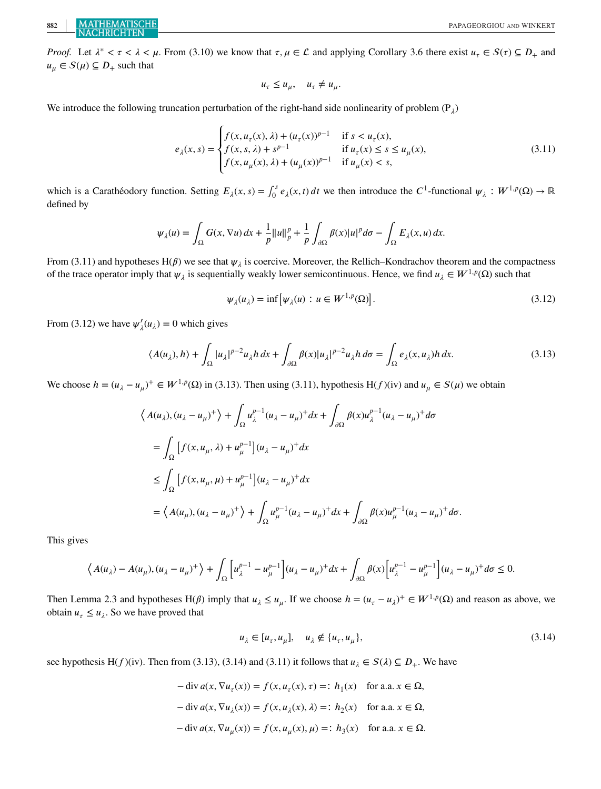*Proof.* Let  $\lambda^* < \tau < \lambda < \mu$ . From (3.10) we know that  $\tau, \mu \in \mathcal{L}$  and applying Corollary 3.6 there exist  $u_\tau \in S(\tau) \subseteq D_+$  and  $u_{\mu} \in S(\mu) \subseteq D_+$  such that

$$
u_\tau \leq u_\mu, \quad u_\tau \neq u_\mu.
$$

We introduce the following truncation perturbation of the right-hand side nonlinearity of problem  $(P_i)$ 

$$
e_{\lambda}(x,s) = \begin{cases} f(x, u_{\tau}(x), \lambda) + (u_{\tau}(x))^{p-1} & \text{if } s < u_{\tau}(x), \\ f(x, s, \lambda) + s^{p-1} & \text{if } u_{\tau}(x) \le s \le u_{\mu}(x), \\ f(x, u_{\mu}(x), \lambda) + (u_{\mu}(x))^{p-1} & \text{if } u_{\mu}(x) < s, \end{cases}
$$
(3.11)

which is a Carathéodory function. Setting  $E_{\lambda}(x, s) = \int_0^s e_{\lambda}(x, t) dt$  we then introduce the C<sup>1</sup>-functional  $\psi_{\lambda}: W^{1,p}(\Omega) \to \mathbb{R}$ defined by

$$
\psi_{\lambda}(u) = \int_{\Omega} G(x, \nabla u) dx + \frac{1}{p} ||u||_{p}^{p} + \frac{1}{p} \int_{\partial \Omega} \beta(x) |u|^{p} d\sigma - \int_{\Omega} E_{\lambda}(x, u) dx.
$$

From (3.11) and hypotheses H( $\beta$ ) we see that  $\psi_{\lambda}$  is coercive. Moreover, the Rellich–Kondrachov theorem and the compactness of the trace operator imply that  $\psi_{\lambda}$  is sequentially weakly lower semicontinuous. Hence, we find  $u_{\lambda} \in W^{1,p}(\Omega)$  such that

$$
\psi_{\lambda}(u_{\lambda}) = \inf \left[ \psi_{\lambda}(u) : u \in W^{1,p}(\Omega) \right]. \tag{3.12}
$$

From (3.12) we have  $\psi'_{\lambda}(u_{\lambda})=0$  which gives

$$
\langle A(u_{\lambda}), h \rangle + \int_{\Omega} |u_{\lambda}|^{p-2} u_{\lambda} h \, dx + \int_{\partial \Omega} \beta(x) |u_{\lambda}|^{p-2} u_{\lambda} h \, d\sigma = \int_{\Omega} e_{\lambda}(x, u_{\lambda}) h \, dx. \tag{3.13}
$$

We choose  $h = (u_{\lambda} - u_{\mu})^+ \in W^{1,p}(\Omega)$  in (3.13). Then using (3.11), hypothesis H(f)(iv) and  $u_{\mu} \in S(\mu)$  we obtain

$$
\langle A(u_{\lambda}), (u_{\lambda} - u_{\mu})^{+} \rangle + \int_{\Omega} u_{\lambda}^{p-1} (u_{\lambda} - u_{\mu})^{+} dx + \int_{\partial\Omega} \beta(x) u_{\lambda}^{p-1} (u_{\lambda} - u_{\mu})^{+} d\sigma
$$
  
\n
$$
= \int_{\Omega} \left[ f(x, u_{\mu}, \lambda) + u_{\mu}^{p-1} \right] (u_{\lambda} - u_{\mu})^{+} dx
$$
  
\n
$$
\leq \int_{\Omega} \left[ f(x, u_{\mu}, \mu) + u_{\mu}^{p-1} \right] (u_{\lambda} - u_{\mu})^{+} dx
$$
  
\n
$$
= \langle A(u_{\mu}), (u_{\lambda} - u_{\mu})^{+} \rangle + \int_{\Omega} u_{\mu}^{p-1} (u_{\lambda} - u_{\mu})^{+} dx + \int_{\partial\Omega} \beta(x) u_{\mu}^{p-1} (u_{\lambda} - u_{\mu})^{+} d\sigma.
$$

This gives

$$
\left\langle A(u_\lambda) - A(u_\mu), (u_\lambda - u_\mu)^+ \right\rangle + \int_{\Omega} \left[ u_\lambda^{p-1} - u_\mu^{p-1} \right] (u_\lambda - u_\mu)^+ dx + \int_{\partial \Omega} \beta(x) \left[ u_\lambda^{p-1} - u_\mu^{p-1} \right] (u_\lambda - u_\mu)^+ d\sigma \le 0.
$$

Then Lemma 2.3 and hypotheses H( $\beta$ ) imply that  $u_{\lambda} \leq u_{\mu}$ . If we choose  $h = (u_{\tau} - u_{\lambda})^+ \in W^{1,p}(\Omega)$  and reason as above, we obtain  $u_{\tau} \leq u_{\lambda}$ . So we have proved that

$$
u_{\lambda} \in [u_{\tau}, u_{\mu}], \quad u_{\lambda} \notin \{u_{\tau}, u_{\mu}\},\tag{3.14}
$$

see hypothesis H(f)(iv). Then from (3.13), (3.14) and (3.11) it follows that  $u_{\lambda} \in S(\lambda) \subseteq D_+$ . We have

$$
-\operatorname{div} a(x, \nabla u_{\tau}(x)) = f(x, u_{\tau}(x), \tau) =: h_1(x) \quad \text{for a.a. } x \in \Omega,
$$
  

$$
-\operatorname{div} a(x, \nabla u_{\lambda}(x)) = f(x, u_{\lambda}(x), \lambda) =: h_2(x) \quad \text{for a.a. } x \in \Omega,
$$
  

$$
-\operatorname{div} a(x, \nabla u_{\mu}(x)) = f(x, u_{\mu}(x), \mu) =: h_3(x) \quad \text{for a.a. } x \in \Omega.
$$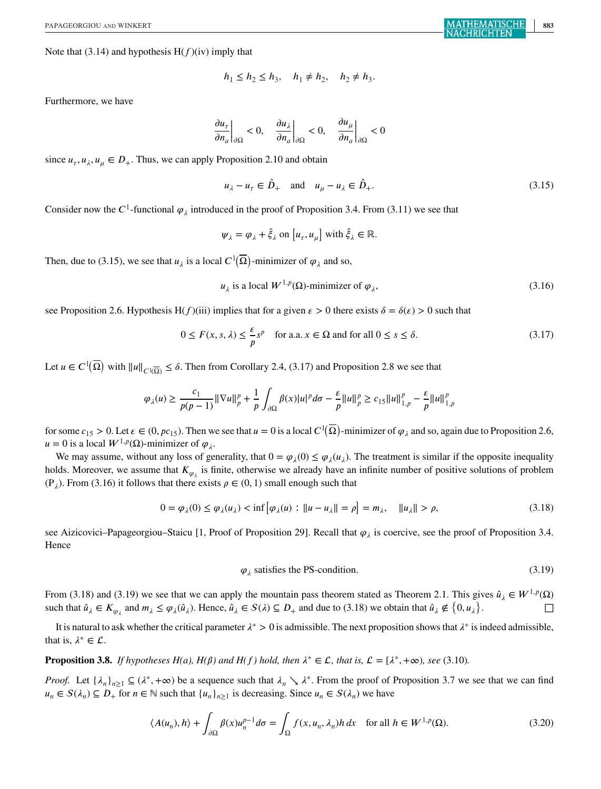Note that (3.14) and hypothesis  $H(f)(iv)$  imply that

$$
h_1 \le h_2 \le h_3
$$
,  $h_1 \ne h_2$ ,  $h_2 \ne h_3$ .

Furthermore, we have

$$
\left. \frac{\partial u_{\tau}}{\partial n_{a}} \right|_{\partial \Omega} < 0, \quad \left. \frac{\partial u_{\lambda}}{\partial n_{a}} \right|_{\partial \Omega} < 0, \quad \left. \frac{\partial u_{\mu}}{\partial n_{a}} \right|_{\partial \Omega} < 0
$$

since  $u_{\tau}, u_{\lambda}, u_{\mu} \in D_+$ . Thus, we can apply Proposition 2.10 and obtain

$$
u_{\lambda} - u_{\tau} \in \hat{D}_{+} \quad \text{and} \quad u_{\mu} - u_{\lambda} \in \hat{D}_{+}.
$$

Consider now the C<sup>1</sup>-functional  $\varphi_{\lambda}$  introduced in the proof of Proposition 3.4. From (3.11) we see that

$$
\psi_{\lambda} = \varphi_{\lambda} + \hat{\xi}_{\lambda}
$$
 on  $[u_{\tau}, u_{\mu}]$  with  $\hat{\xi}_{\lambda} \in \mathbb{R}$ .

Then, due to (3.15), we see that  $u_{\lambda}$  is a local  $C^1(\overline{\Omega})$ -minimizer of  $\varphi_{\lambda}$  and so,

$$
u_{\lambda} \text{ is a local } W^{1,p}(\Omega) \text{-minimizer of } \varphi_{\lambda}, \tag{3.16}
$$

see Proposition 2.6. Hypothesis H(f)(iii) implies that for a given  $\epsilon > 0$  there exists  $\delta = \delta(\epsilon) > 0$  such that

$$
0 \le F(x, s, \lambda) \le \frac{\varepsilon}{p} s^p \quad \text{for a.a. } x \in \Omega \text{ and for all } 0 \le s \le \delta. \tag{3.17}
$$

Let  $u \in C^1(\overline{\Omega})$  with  $||u||_{C^1(\overline{\Omega})} \le \delta$ . Then from Corollary 2.4, (3.17) and Proposition 2.8 we see that

$$
\varphi_{\lambda}(u) \ge \frac{c_1}{p(p-1)} \|\nabla u\|_{p}^{p} + \frac{1}{p} \int_{\partial \Omega} \beta(x) |u|^{p} d\sigma - \frac{\varepsilon}{p} \|u\|_{p}^{p} \ge c_{15} \|u\|_{1,p}^{p} - \frac{\varepsilon}{p} \|u\|_{1,p}^{p}
$$

for some  $c_{15} > 0$ . Let  $\varepsilon \in (0, pc_{15})$ . Then we see that  $u = 0$  is a local  $C^1(\overline{\Omega})$ -minimizer of  $\varphi_\lambda$  and so, again due to Proposition 2.6,  $u = 0$  is a local  $W^{1,p}(\Omega)$ -minimizer of  $\varphi_{\lambda}$ .

We may assume, without any loss of generality, that  $0 = \varphi_\lambda(0) \leq \varphi_\lambda(u_\lambda)$ . The treatment is similar if the opposite inequality holds. Moreover, we assume that  $K_{\varphi_1}$  is finite, otherwise we already have an infinite number of positive solutions of problem (P<sub>i</sub>). From (3.16) it follows that there exists  $\rho \in (0, 1)$  small enough such that

$$
0 = \varphi_{\lambda}(0) \le \varphi_{\lambda}(u_{\lambda}) < \inf \left[ \varphi_{\lambda}(u) : \|u - u_{\lambda}\| = \rho \right] = m_{\lambda}, \quad \|u_{\lambda}\| > \rho,\tag{3.18}
$$

see Aizicovici–Papageorgiou–Staicu [1, Proof of Proposition 29]. Recall that  $\varphi_{\lambda}$  is coercive, see the proof of Proposition 3.4. Hence

$$
\varphi_{\lambda} \text{ satisfies the PS-condition.} \tag{3.19}
$$

From (3.18) and (3.19) we see that we can apply the mountain pass theorem stated as Theorem 2.1. This gives  $\hat{u}_\lambda \in W^{1,p}(\Omega)$ such that  $\hat{u}_{\lambda} \in K_{\varphi_{\lambda}}$  and  $m_{\lambda} \leq \varphi_{\lambda}(\hat{u}_{\lambda})$ . Hence,  $\hat{u}_{\lambda} \in S(\lambda) \subseteq D_+$  and due to (3.18) we obtain that  $\hat{u}_{\lambda} \notin \{0, u_{\lambda}\}\$  $\Box$ 

It is natural to ask whether the critical parameter  $λ^* > 0$  is admissible. The next proposition shows that  $λ^*$  is indeed admissible, that is,  $\lambda^* \in \mathcal{L}$ .

**Proposition 3.8.** *If hypotheses H(a), H(* $\beta$ *) and H(f) hold, then*  $\lambda^* \in \mathcal{L}$ *, that is,*  $\mathcal{L} = [\lambda^*, +\infty)$ *, see* (3.10)*.* 

*Proof.* Let  $\{\lambda_n\}_{n\geq 1} \subseteq (\lambda^*, +\infty)$  be a sequence such that  $\lambda_n \setminus \lambda^*$ . From the proof of Proposition 3.7 we see that we can find  $u_n \in S(\lambda_n) \subseteq D_+$  for  $n \in \mathbb{N}$  such that  $\{u_n\}_{n \geq 1}$  is decreasing. Since  $u_n \in S(\lambda_n)$  we have

$$
\langle A(u_n), h \rangle + \int_{\partial \Omega} \beta(x) u_n^{p-1} d\sigma = \int_{\Omega} f(x, u_n, \lambda_n) h \, dx \quad \text{for all } h \in W^{1, p}(\Omega). \tag{3.20}
$$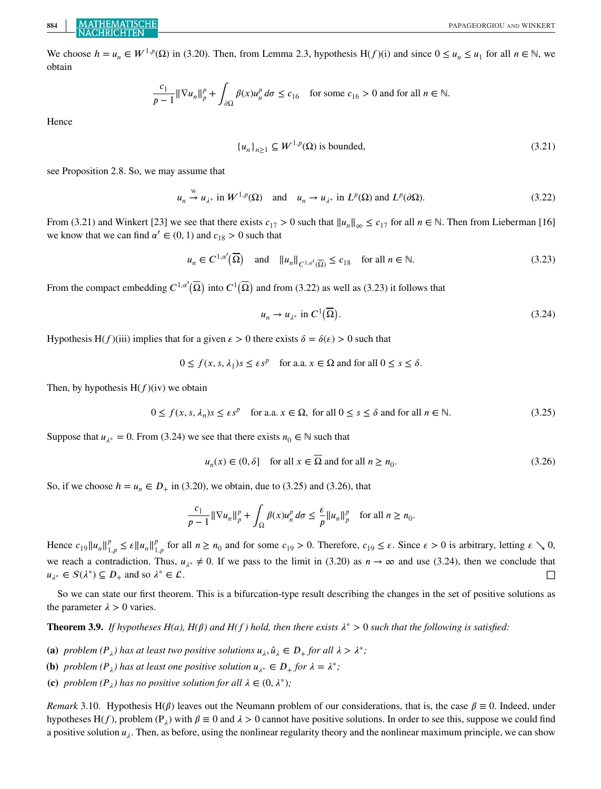We choose  $h = u_n \in W^{1,p}(\Omega)$  in (3.20). Then, from Lemma 2.3, hypothesis H(f)(i) and since  $0 \le u_n \le u_1$  for all  $n \in \mathbb{N}$ , we obtain

$$
\frac{c_1}{p-1} \|\nabla u_n\|_p^p + \int_{\partial\Omega} \beta(x) u_n^p \, d\sigma \le c_{16} \quad \text{for some } c_{16} > 0 \text{ and for all } n \in \mathbb{N}.
$$

Hence

$$
\{u_n\}_{n\geq 1} \subseteq W^{1,p}(\Omega) \text{ is bounded},\tag{3.21}
$$

see Proposition 2.8. So, we may assume that

$$
u_n \stackrel{w}{\rightarrow} u_{\lambda^*}
$$
 in  $W^{1,p}(\Omega)$  and  $u_n \rightarrow u_{\lambda^*}$  in  $L^p(\Omega)$  and  $L^p(\partial\Omega)$ . (3.22)

From (3.21) and Winkert [23] we see that there exists  $c_{17} > 0$  such that  $||u_n||_{\infty} \le c_{17}$  for all  $n \in \mathbb{N}$ . Then from Lieberman [16] we know that we can find  $\alpha' \in (0, 1)$  and  $c_{18} > 0$  such that

$$
u_n \in C^{1,\alpha'}(\overline{\Omega}) \quad \text{and} \quad \|u_n\|_{C^{1,\alpha'}(\overline{\Omega})} \le c_{18} \quad \text{for all } n \in \mathbb{N}.
$$

From the compact embedding  $C^{1,a'}(\overline{\Omega})$  into  $C^1(\overline{\Omega})$  and from (3.22) as well as (3.23) it follows that

$$
u_n \to u_{\lambda^*} \text{ in } C^1(\overline{\Omega}). \tag{3.24}
$$

Hypothesis H(f)(iii) implies that for a given  $\epsilon > 0$  there exists  $\delta = \delta(\epsilon) > 0$  such that

$$
0 \le f(x, s, \lambda_1)s \le \varepsilon s^p
$$
 for a.a.  $x \in \Omega$  and for all  $0 \le s \le \delta$ .

Then, by hypothesis  $H(f)(iv)$  we obtain

$$
0 \le f(x, s, \lambda_n) s \le \varepsilon s^p \quad \text{for a.a. } x \in \Omega, \text{ for all } 0 \le s \le \delta \text{ and for all } n \in \mathbb{N}.
$$

Suppose that  $u_{\lambda^*} = 0$ . From (3.24) we see that there exists  $n_0 \in \mathbb{N}$  such that

$$
u_n(x) \in (0, \delta] \quad \text{for all } x \in \overline{\Omega} \text{ and for all } n \ge n_0. \tag{3.26}
$$

So, if we choose  $h = u_n \in D_+$  in (3.20), we obtain, due to (3.25) and (3.26), that

$$
\frac{c_1}{p-1} \|\nabla u_n\|_p^p + \int_{\Omega} \beta(x) u_n^p \, d\sigma \le \frac{\varepsilon}{p} \|u_n\|_p^p \quad \text{for all } n \ge n_0.
$$

Hence  $c_{19} || u_n ||_{1,p}^p \le \varepsilon || u_n ||_{1,p}^p$  for all  $n \ge n_0$  and for some  $c_{19} > 0$ . Therefore,  $c_{19} \le \varepsilon$ . Since  $\varepsilon > 0$  is arbitrary, letting  $\varepsilon \searrow 0$ , we reach a contradiction. Thus,  $u_{\lambda^*} \neq 0$ . If we pass to the limit in (3.20) as  $n \to \infty$  and use (3.24), then we conclude that  $u_{\lambda^*} \in S(\lambda^*) \subseteq D_+$  and so  $\lambda^* \in \mathcal{L}$ .

So we can state our first theorem. This is a bifurcation-type result describing the changes in the set of positive solutions as the parameter  $\lambda > 0$  varies.

**Theorem 3.9.** *If hypotheses H(a), H(* $\beta$ *) and H(f) hold, then there exists*  $\lambda^* > 0$  *such that the following is satisfied:* 

- **(a)** *problem*  $(P_{\lambda})$  *has at least two positive solutions*  $u_{\lambda}, \hat{u}_{\lambda} \in D_{+}$  *for all*  $\lambda > \lambda^{*}$ ;
- **(b)** *problem*  $(P_{\lambda})$  *has at least one positive solution*  $u_{\lambda^*} \in D_+$  *for*  $\lambda = \lambda^*$ ;
- **(c)** *problem*  $(P_{\lambda})$  *has no positive solution for all*  $\lambda \in (0, \lambda^*)$ *;*

*Remark* 3.10. Hypothesis H( $\beta$ ) leaves out the Neumann problem of our considerations, that is, the case  $\beta \equiv 0$ . Indeed, under hypotheses H(f), problem  $(P_i)$  with  $\beta \equiv 0$  and  $\lambda > 0$  cannot have positive solutions. In order to see this, suppose we could find a positive solution  $u_{\lambda}$ . Then, as before, using the nonlinear regularity theory and the nonlinear maximum principle, we can show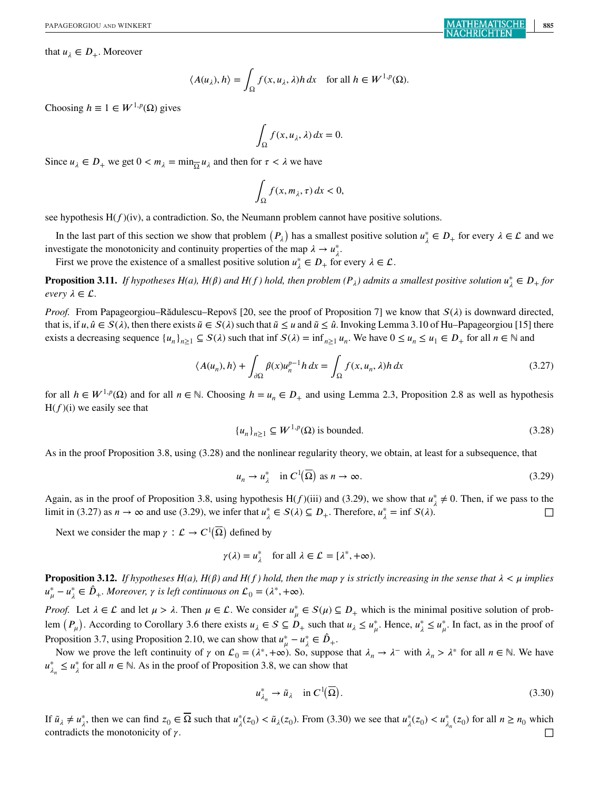that  $u_{\lambda} \in D_{+}$ . Moreover

$$
\langle A(u_{\lambda}), h \rangle = \int_{\Omega} f(x, u_{\lambda}, \lambda) h \, dx \quad \text{for all } h \in W^{1, p}(\Omega).
$$

Choosing  $h \equiv 1 \in W^{1,p}(\Omega)$  gives

$$
\int_{\Omega} f(x, u_{\lambda}, \lambda) dx = 0.
$$

Since  $u_{\lambda} \in D_+$  we get  $0 < m_{\lambda} = \min_{\lambda} u_{\lambda}$  and then for  $\tau < \lambda$  we have

$$
\int_{\Omega} f(x, m_{\lambda}, \tau) dx < 0,
$$

see hypothesis  $H(f)(iv)$ , a contradiction. So, the Neumann problem cannot have positive solutions.

In the last part of this section we show that problem  $(P_{\lambda})$  has a smallest positive solution  $u_{\lambda}^{*} \in D_{+}$  for every  $\lambda \in \mathcal{L}$  and we investigate the monotonicity and continuity properties of the map  $\lambda \to u_{\lambda}^*$ .

First we prove the existence of a smallest positive solution  $u_{\lambda}^* \in D_+$  for every  $\lambda \in \mathcal{L}$ .

**Proposition 3.11.** *If hypotheses H(a), H(* $\beta$ *) and H(f) hold, then problem* ( $P_\lambda$ ) admits a smallest positive solution  $u^*_\lambda \in D_+$  for *every*  $\lambda \in \mathcal{L}$ .

*Proof.* From Papageorgiou–Rădulescu–Repovš [20, see the proof of Proposition 7] we know that  $S(\lambda)$  is downward directed, that is, if  $u, \hat{u} \in S(\lambda)$ , then there exists  $\tilde{u} \in S(\lambda)$  such that  $\tilde{u} \le u$  and  $\tilde{u} \le \hat{u}$ . Invoking Lemma 3.10 of Hu–Papageorgiou [15] there exists a decreasing sequence  ${u_n}_{n \geq 1} \subseteq S(\lambda)$  such that inf  $S(\lambda) = \inf_{n \geq 1} u_n$ . We have  $0 \leq u_n \leq u_1 \in D_+$  for all  $n \in \mathbb{N}$  and

$$
\langle A(u_n), h \rangle + \int_{\partial \Omega} \beta(x) u_n^{p-1} h \, dx = \int_{\Omega} f(x, u_n, \lambda) h \, dx \tag{3.27}
$$

for all  $h \in W^{1,p}(\Omega)$  and for all  $n \in \mathbb{N}$ . Choosing  $h = u_n \in D_+$  and using Lemma 2.3, Proposition 2.8 as well as hypothesis  $H(f)(i)$  we easily see that

$$
\{u_n\}_{n\geq 1} \subseteq W^{1,p}(\Omega) \text{ is bounded.}
$$
\n
$$
(3.28)
$$

As in the proof Proposition 3.8, using (3.28) and the nonlinear regularity theory, we obtain, at least for a subsequence, that

$$
u_n \to u_\lambda^* \quad \text{in } C^1(\overline{\Omega}) \text{ as } n \to \infty. \tag{3.29}
$$

Again, as in the proof of Proposition 3.8, using hypothesis H(f)(iii) and (3.29), we show that  $u^*_{\lambda} \neq 0$ . Then, if we pass to the limit in (3.27) as  $n \to \infty$  and use (3.29), we infer that  $u_{\lambda}^* \in S(\lambda) \subseteq D_+$ . Therefore,  $u_{\lambda}^* = \inf S(\lambda)$ . □

Next we consider the map  $\gamma : \mathcal{L} \to C^1(\overline{\Omega})$  defined by

$$
\gamma(\lambda) = u_{\lambda}^*
$$
 for all  $\lambda \in \mathcal{L} = [\lambda^*, +\infty)$ .

**Proposition 3.12.** If hypotheses  $H(a)$ ,  $H(\beta)$  and  $H(f)$  hold, then the map  $\gamma$  is strictly increasing in the sense that  $\lambda < \mu$  implies  $u_{\mu}^* - u_{\lambda}^* \in \hat{D}_+$ . Moreover,  $\gamma$  is left continuous on  $\mathcal{L}_0 = (\lambda^*, +\infty)$ .

*Proof.* Let  $\lambda \in \mathcal{L}$  and let  $\mu > \lambda$ . Then  $\mu \in \mathcal{L}$ . We consider  $u^*_{\mu} \in S(\mu) \subseteq D_+$  which is the minimal positive solution of problem  $(P_\mu)$ . According to Corollary 3.6 there exists  $u_\lambda \in S \subseteq D_+$  such that  $u_\lambda \le u_\mu^*$ . Hence,  $u_\lambda^* \le u_\mu^*$ . In fact, as in the proof of Proposition 3.7, using Proposition 2.10, we can show that  $u^*_{\mu} - u^*_{\lambda} \in \hat{D}_+$ .

Now we prove the left continuity of  $\gamma$  on  $\mathcal{L}_0 = (\lambda^*, +\infty)$ . So, suppose that  $\lambda_n \to \lambda^-$  with  $\lambda_n > \lambda^*$  for all  $n \in \mathbb{N}$ . We have  $u_{\lambda_n}^* \le u_{\lambda}^*$  for all  $n \in \mathbb{N}$ . As in the proof of Proposition 3.8, we can show that

$$
u_{\lambda_n}^* \to \tilde{u}_\lambda \quad \text{in } C^1(\overline{\Omega}). \tag{3.30}
$$

If  $\tilde{u}_{\lambda} \neq u_{\lambda}^*$ , then we can find  $z_0 \in \overline{\Omega}$  such that  $u_{\lambda}^*(z_0) < \tilde{u}_{\lambda}(z_0)$ . From (3.30) we see that  $u_{\lambda}^*(z_0) < u_{\lambda_n}^*(z_0)$  for all  $n \ge n_0$  which contradicts the monotonicity of  $\gamma$ .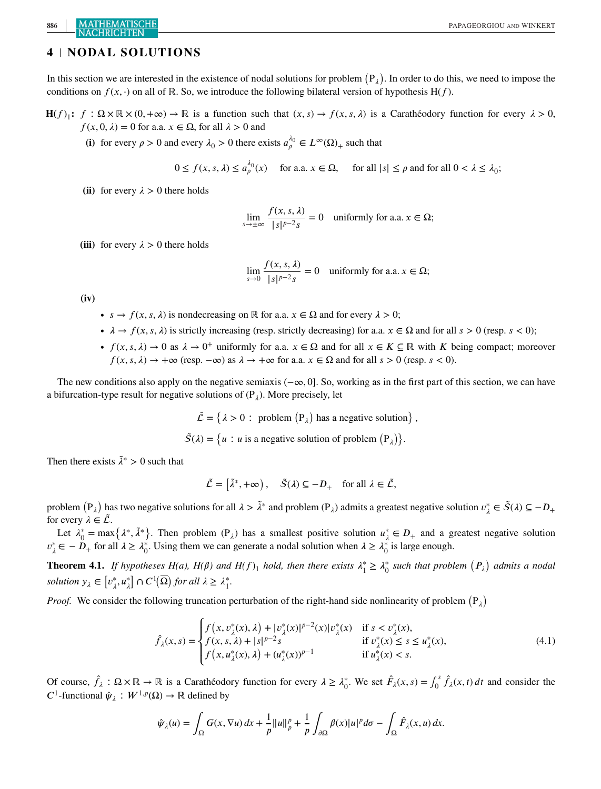# **886 MATHEMATISCHE** PAPAGEORGIOU AND WINKERT

## **4 NODAL SOLUTIONS**

In this section we are interested in the existence of nodal solutions for problem  $(P_{\lambda})$ . In order to do this, we need to impose the conditions on  $f(x, \cdot)$  on all of ℝ. So, we introduce the following bilateral version of hypothesis H(f).

 $H(f)$ <sub>1</sub>:  $f: \Omega \times \mathbb{R} \times (0, +\infty) \to \mathbb{R}$  is a function such that  $(x, s) \to f(x, s, \lambda)$  is a Carathéodory function for every  $\lambda > 0$ ,  $f(x, 0, \lambda) = 0$  for a.a.  $x \in \Omega$ , for all  $\lambda > 0$  and

(i) for every  $\rho > 0$  and every  $\lambda_0 > 0$  there exists  $a_\rho^{\lambda_0} \in L^\infty(\Omega)$  such that

$$
0 \le f(x, s, \lambda) \le a_{\rho}^{\lambda_0}(x) \quad \text{ for a.a. } x \in \Omega, \quad \text{ for all } |s| \le \rho \text{ and for all } 0 < \lambda \le \lambda_0;
$$

(ii) for every  $\lambda > 0$  there holds

$$
\lim_{s \to \pm \infty} \frac{f(x, s, \lambda)}{|s|^{p-2} s} = 0 \quad \text{uniformly for a.a. } x \in \Omega;
$$

(iii) for every  $\lambda > 0$  there holds

$$
\lim_{s \to 0} \frac{f(x, s, \lambda)}{|s|^{p-2} s} = 0 \quad \text{uniformly for a.a. } x \in \Omega;
$$

**(iv)**

- $s \to f(x, s, \lambda)$  is nondecreasing on ℝ for a.a.  $x \in \Omega$  and for every  $\lambda > 0$ ;
- $\lambda \to f(x, s, \lambda)$  is strictly increasing (resp. strictly decreasing) for a.a.  $x \in \Omega$  and for all  $s > 0$  (resp.  $s < 0$ );
- $f(x, s, \lambda) \to 0$  as  $\lambda \to 0^+$  uniformly for a.a.  $x \in \Omega$  and for all  $x \in K \subseteq \mathbb{R}$  with K being compact; moreover  $f(x, s, \lambda) \rightarrow +\infty$  (resp.  $-\infty$ ) as  $\lambda \rightarrow +\infty$  for a.a.  $x \in \Omega$  and for all  $s > 0$  (resp.  $s < 0$ ).

The new conditions also apply on the negative semiaxis ( $-\infty$ , 0]. So, working as in the first part of this section, we can have a bifurcation-type result for negative solutions of  $(P_1)$ . More precisely, let

 $\tilde{\mathcal{L}} = \{ \lambda > 0 : \text{ problem } (\mathbf{P}_{\lambda}) \text{ has a negative solution} \},$ 

 $\tilde{S}(\lambda) = \{u : u \text{ is a negative solution of problem } (P_{\lambda})\}.$ 

Then there exists  $\tilde{\lambda}^* > 0$  such that

$$
\tilde{\mathcal{L}} = \begin{bmatrix} \tilde{\lambda}^*, +\infty \end{bmatrix}, \quad \tilde{S}(\lambda) \subseteq -D_+ \quad \text{for all } \lambda \in \tilde{\mathcal{L}},
$$

problem  $(P_{\lambda})$  has two negative solutions for all  $\lambda > \tilde{\lambda}^*$  and problem  $(P_{\lambda})$  admits a greatest negative solution  $v_{\lambda}^* \in \tilde{S}(\lambda) \subseteq -D_+$ for every  $\lambda \in \mathcal{L}$ .

Let  $\lambda_0^* = \max\{\lambda^*, \tilde{\lambda}^*\}$ . Then problem  $(P_{\lambda})$  has a smallest positive solution  $u_{\lambda}^* \in D_+$  and a greatest negative solution  $v_{\lambda}^* \in -D_+$  for all  $\lambda \geq \lambda_0^*$ . Using them we can generate a nodal solution when  $\lambda \geq \lambda_0^*$  is large enough.

**Theorem 4.1.** If hypotheses H(a), H( $\beta$ ) and H(f)<sub>1</sub> hold, then there exists  $\lambda_1^* \geq \lambda_0^*$  such that problem  $(P_\lambda)$  admits a nodal *solution*  $y_{\lambda} \in [v_{\lambda}^*, u_{\lambda}^*] \cap C^1(\overline{\Omega})$  *for all*  $\lambda \geq \lambda_1^*$ .

*Proof.* We consider the following truncation perturbation of the right-hand side nonlinearity of problem  $(P_{\lambda})$ 

$$
\hat{f}_{\lambda}(x,s) = \begin{cases}\nf(x,v_{\lambda}^*(x),\lambda) + |v_{\lambda}^*(x)|^{p-2}(x)|v_{\lambda}^*(x) & \text{if } s < v_{\lambda}^*(x), \\
f(x,s,\lambda) + |s|^{p-2}s & \text{if } v_{\lambda}^*(x) \le s \le u_{\lambda}^*(x), \\
f(x,u_{\lambda}^*(x),\lambda) + (u_{\lambda}^*(x))^{p-1} & \text{if } u_{\lambda}^*(x) < s.\n\end{cases} \tag{4.1}
$$

Of course,  $\hat{f}_\lambda : \Omega \times \mathbb{R} \to \mathbb{R}$  is a Carathéodory function for every  $\lambda \geq \lambda_0^*$ . We set  $\hat{F}_\lambda(x, s) = \int_0^s \hat{f}_\lambda(x, t) dt$  and consider the  $C^1$ -functional  $\hat{\psi}_\lambda : W^{1,p}(\Omega) \to \mathbb{R}$  defined by

$$
\hat{\psi}_{\lambda}(u) = \int_{\Omega} G(x, \nabla u) dx + \frac{1}{p} ||u||_{p}^{p} + \frac{1}{p} \int_{\partial \Omega} \beta(x) |u|^{p} d\sigma - \int_{\Omega} \hat{F}_{\lambda}(x, u) dx.
$$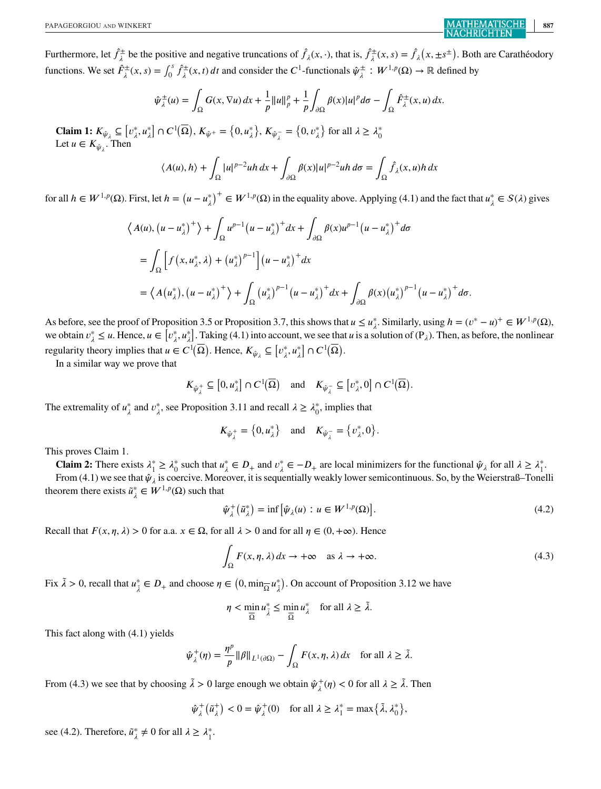Furthermore, let  $\hat{f}^{\pm}_{\lambda}$  be the positive and negative truncations of  $\hat{f}_{\lambda}(x, \cdot)$ , that is,  $\hat{f}^{\pm}_{\lambda}(x, s) = \hat{f}_{\lambda}(x, \pm s^{\pm})$ . Both are Carathéodory functions. We set  $\hat{F}^{\pm}_{\lambda}(x, s) = \int_0^s \hat{f}^{\pm}_{\lambda}(x, t) dt$  and consider the  $C^1$ -functionals  $\hat{\psi}^{\pm}_{\lambda}: W^{1, p}(\Omega) \to \mathbb{R}$  defined by

$$
\hat{\psi}_{\lambda}^{\pm}(u) = \int_{\Omega} G(x, \nabla u) dx + \frac{1}{p} ||u||_{p}^{p} + \frac{1}{p} \int_{\partial \Omega} \beta(x) |u|^{p} d\sigma - \int_{\Omega} \hat{F}_{\lambda}^{\pm}(x, u) dx.
$$

**Claim 1:**  $K_{\hat{\psi}_{\lambda}} \subseteq [v_{\lambda}^*, u_{\lambda}^*] \cap C^1(\overline{\Omega}), K_{\hat{\psi}^+} = \{0, u_{\lambda}^*\}, K_{\hat{\psi}_{\lambda}^-} = \{0, v_{\lambda}^*\}$  for all  $\lambda \geq \lambda_0^*$ <br>Let  $u \in K_{\hat{\psi}_{\lambda}}$ . Then

$$
\langle A(u), h \rangle + \int_{\Omega} |u|^{p-2} u h \, dx + \int_{\partial \Omega} \beta(x) |u|^{p-2} u h \, d\sigma = \int_{\Omega} \hat{f}_{\lambda}(x, u) h \, dx
$$

for all  $h \in W^{1,p}(\Omega)$ . First, let  $h = (u - u_{\lambda}^*)^+ \in W^{1,p}(\Omega)$  in the equality above. Applying (4.1) and the fact that  $u_{\lambda}^* \in S(\lambda)$  gives

$$
\langle A(u), (u - u_{\lambda}^*)^+ \rangle + \int_{\Omega} u^{p-1} (u - u_{\lambda}^*)^+ dx + \int_{\partial \Omega} \beta(x) u^{p-1} (u - u_{\lambda}^*)^+ d\sigma
$$
  
= 
$$
\int_{\Omega} \left[ f(x, u_{\lambda}^*, \lambda) + (u_{\lambda}^*)^{p-1} \right] (u - u_{\lambda}^*)^+ dx
$$
  
= 
$$
\langle A(u_{\lambda}^*), (u - u_{\lambda}^*)^+ \rangle + \int_{\Omega} (u_{\lambda}^*)^{p-1} (u - u_{\lambda}^*)^+ dx + \int_{\partial \Omega} \beta(x) (u_{\lambda}^*)^{p-1} (u - u_{\lambda}^*)^+ d\sigma.
$$

As before, see the proof of Proposition 3.5 or Proposition 3.7, this shows that  $u \le u^*_{\lambda}$ . Similarly, using  $h = (v^* - u)^+ \in W^{1,p}(\Omega)$ , we obtain  $v^*_{\lambda} \le u$ . Hence,  $u \in [v^*_{\lambda}, u^*_{\lambda}]$ . Taking (4.1) into account, we see that  $u$  is a solution of (P<sub> $\lambda$ </sub>). Then, as before, the nonlinear regularity theory implies that  $u \in C^1(\overline{\Omega})$ . Hence,  $K_{\hat{\psi}_\lambda} \subseteq [v_\lambda^*, u_\lambda^*] \cap C^1(\overline{\Omega})$ .

In a similar way we prove that

$$
K_{\hat{\psi}^+_{\lambda}} \subseteq \left[0, u^*_{\lambda}\right] \cap C^1(\overline{\Omega}) \quad \text{and} \quad K_{\hat{\psi}^-_{\lambda}} \subseteq \left[v^*_{\lambda}, 0\right] \cap C^1(\overline{\Omega}).
$$

The extremality of  $u^*_{\lambda}$  and  $v^*_{\lambda}$ , see Proposition 3.11 and recall  $\lambda \geq \lambda_0^*$ , implies that

$$
K_{\hat{\psi}^+_{\lambda}} = \left\{0, u^*_{\lambda}\right\} \quad \text{and} \quad K_{\hat{\psi}^-_{\lambda}} = \left\{v^*_{\lambda}, 0\right\}.
$$

This proves Claim 1.

**Claim 2:** There exists  $\lambda_1^* \ge \lambda_0^*$  such that  $u_{\lambda}^* \in D_+$  and  $v_{\lambda}^* \in -D_+$  are local minimizers for the functional  $\hat{\psi}_{\lambda}$  for all  $\lambda \ge \lambda_1^*$ .

From (4.1) we see that  $\hat{\psi}_{\lambda}$  is coercive. Moreover, it is sequentially weakly lower semicontinuous. So, by the Weierstraß–Tonelli theorem there exists  $\tilde{u}^*_{\lambda} \in W^{1,p}(\Omega)$  such that

$$
\hat{\psi}_{\lambda}^{+}(\tilde{u}_{\lambda}^{*}) = \inf \left[ \hat{\psi}_{\lambda}(u) : u \in W^{1,p}(\Omega) \right]. \tag{4.2}
$$

Recall that  $F(x, \eta, \lambda) > 0$  for a.a.  $x \in \Omega$ , for all  $\lambda > 0$  and for all  $\eta \in (0, +\infty)$ . Hence

$$
\int_{\Omega} F(x, \eta, \lambda) dx \to +\infty \quad \text{as } \lambda \to +\infty.
$$
\n(4.3)

Fix  $\tilde{\lambda} > 0$ , recall that  $u_{\tilde{\lambda}}^* \in D_+$  and choose  $\eta \in (0, \min_{\overline{\lambda}} u_{\tilde{\lambda}}^*)$ . On account of Proposition 3.12 we have

$$
\eta < \min_{\overline{\Omega}} u_{\tilde{\lambda}}^* \le \min_{\overline{\Omega}} u_{\lambda}^* \quad \text{for all } \lambda \ge \tilde{\lambda}.
$$

This fact along with (4.1) yields

$$
\hat{\psi}_{\lambda}^{+}(\eta) = \frac{\eta^{p}}{p} \|\beta\|_{L^{1}(\partial\Omega)} - \int_{\Omega} F(x, \eta, \lambda) dx \quad \text{for all } \lambda \geq \tilde{\lambda}.
$$

From (4.3) we see that by choosing  $\tilde{\lambda} > 0$  large enough we obtain  $\hat{\psi}_{\lambda}^{+}(\eta) < 0$  for all  $\lambda \geq \tilde{\lambda}$ . Then

$$
\hat{\psi}_{\lambda}^{+}(\tilde{u}_{\lambda}^{+}) < 0 = \hat{\psi}_{\lambda}^{+}(0) \quad \text{for all } \lambda \ge \lambda_{1}^{*} = \max\{\tilde{\lambda}, \lambda_{0}^{*}\},
$$

see (4.2). Therefore,  $\tilde{u}^*_{\lambda} \neq 0$  for all  $\lambda \geq \lambda_1^*$ .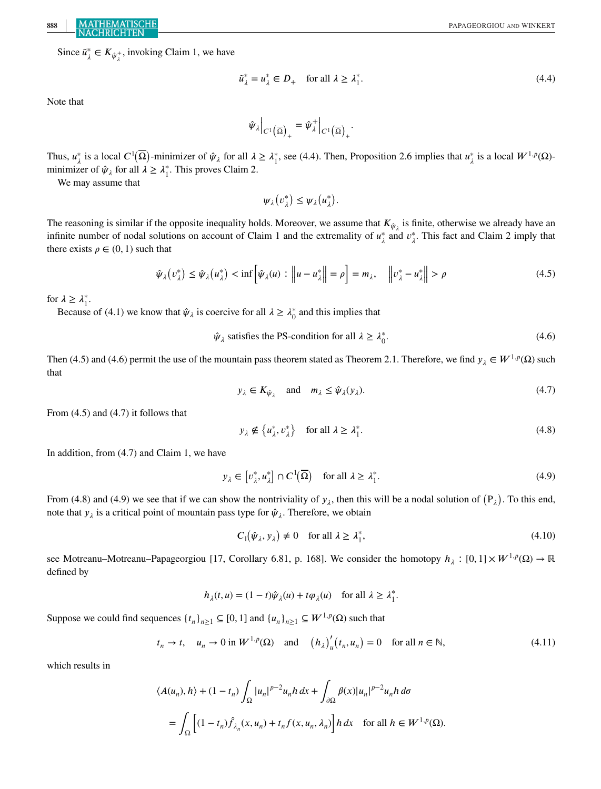Since  $\tilde{u}^*_{\lambda} \in K_{\hat{\psi}^+_{\lambda}}$ , invoking Claim 1, we have

$$
\tilde{u}_{\lambda}^* = u_{\lambda}^* \in D_+ \quad \text{for all } \lambda \ge \lambda_1^*.
$$
\n
$$
(4.4)
$$

Note that

 $\hat{\Psi}_{\lambda}\Big|_{C^1\left(\overline{\Omega}\right)_+} = \hat{\Psi}_{\lambda}^+\Big|_{C^1\left(\overline{\Omega}\right)_+}.$ 

Thus,  $u^*_{\lambda}$  is a local  $C^1(\overline{\Omega})$ -minimizer of  $\hat{\psi}_{\lambda}$  for all  $\lambda \geq \lambda^*_1$ , see (4.4). Then, Proposition 2.6 implies that  $u^*_{\lambda}$  is a local  $W^{1,p}(\Omega)$ minimizer of  $\hat{\psi}_{\lambda}$  for all  $\lambda \geq \lambda_1^*$ . This proves Claim 2.

We may assume that

 $\psi_{\lambda}(v_{\lambda}^*) \leq \psi_{\lambda}(u_{\lambda}^*).$ 

The reasoning is similar if the opposite inequality holds. Moreover, we assume that  $K_{\hat{\psi}_1}$  is finite, otherwise we already have an infinite number of nodal solutions on account of Claim 1 and the extremality of  $u^*_{\lambda}$  and  $v^*_{\lambda}$ . This fact and Claim 2 imply that there exists  $\rho \in (0, 1)$  such that

$$
\hat{\psi}_{\lambda}(v_{\lambda}^*) \le \hat{\psi}_{\lambda}(u_{\lambda}^*) < \inf \left[ \hat{\psi}_{\lambda}(u) : \left\| u - u_{\lambda}^* \right\| = \rho \right] = m_{\lambda}, \quad \left\| v_{\lambda}^* - u_{\lambda}^* \right\| > \rho \tag{4.5}
$$

for  $\lambda \geq \lambda_1^*$ .

Because of (4.1) we know that  $\hat{\psi}_{\lambda}$  is coercive for all  $\lambda \geq \lambda_0^*$  and this implies that

 $\hat{\psi}_{\lambda}$  satisfies the PS-condition for all  $\lambda \geq \lambda_0^*$ .  $_{0}^{*}$ . (4.6)

Then (4.5) and (4.6) permit the use of the mountain pass theorem stated as Theorem 2.1. Therefore, we find  $y_{\lambda} \in W^{1,p}(\Omega)$  such that

$$
y_{\lambda} \in K_{\hat{\psi}_{\lambda}} \quad \text{and} \quad m_{\lambda} \le \hat{\psi}_{\lambda}(y_{\lambda}). \tag{4.7}
$$

From (4.5) and (4.7) it follows that

$$
y_{\lambda} \notin \left\{ u_{\lambda}^*, v_{\lambda}^* \right\} \quad \text{for all } \lambda \ge \lambda_1^*.
$$

In addition, from (4.7) and Claim 1, we have

$$
y_{\lambda} \in \left[v_{\lambda}^*, u_{\lambda}^*\right] \cap C^1(\overline{\Omega}) \quad \text{for all } \lambda \ge \lambda_1^*.
$$
\n
$$
(4.9)
$$

From (4.8) and (4.9) we see that if we can show the nontriviality of  $y_{\lambda}$ , then this will be a nodal solution of  $(P_{\lambda})$ . To this end, note that  $y_{\lambda}$  is a critical point of mountain pass type for  $\hat{\psi}_{\lambda}$ . Therefore, we obtain

$$
C_1(\hat{\psi}_\lambda, \mathbf{y}_\lambda) \neq 0 \quad \text{for all } \lambda \ge \lambda_1^*, \tag{4.10}
$$

see Motreanu–Motreanu–Papageorgiou [17, Corollary 6.81, p. 168]. We consider the homotopy  $h_{\lambda} : [0,1] \times W^{1,p}(\Omega) \to \mathbb{R}$ defined by

$$
h_{\lambda}(t, u) = (1 - t)\hat{\psi}_{\lambda}(u) + t\varphi_{\lambda}(u) \quad \text{for all } \lambda \ge \lambda_1^*.
$$

Suppose we could find sequences  $\{t_n\}_{n\geq 1} \subseteq [0,1]$  and  $\{u_n\}_{n\geq 1} \subseteq W^{1,p}(\Omega)$  such that

$$
t_n \to t
$$
,  $u_n \to 0$  in  $W^{1,p}(\Omega)$  and  $(h_{\lambda})'_u(t_n, u_n) = 0$  for all  $n \in \mathbb{N}$ ,  $(4.11)$ 

which results in

$$
\langle A(u_n), h \rangle + (1 - t_n) \int_{\Omega} |u_n|^{p-2} u_n h \, dx + \int_{\partial \Omega} \beta(x) |u_n|^{p-2} u_n h \, d\sigma
$$
  
= 
$$
\int_{\Omega} \left[ (1 - t_n) \hat{f}_{\lambda_n}(x, u_n) + t_n f(x, u_n, \lambda_n) \right] h \, dx \quad \text{for all } h \in W^{1, p}(\Omega).
$$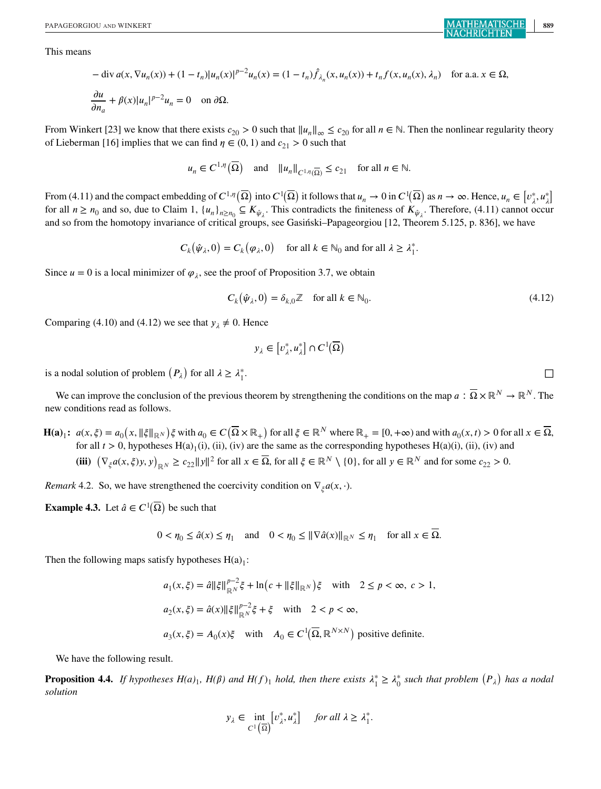This means

$$
-\operatorname{div} a(x, \nabla u_n(x)) + (1 - t_n)|u_n(x)|^{p-2}u_n(x) = (1 - t_n)\hat{f}_{\lambda_n}(x, u_n(x)) + t_nf(x, u_n(x), \lambda_n) \quad \text{for a.a. } x \in \Omega,
$$
  

$$
\frac{\partial u}{\partial n_a} + \beta(x)|u_n|^{p-2}u_n = 0 \quad \text{on } \partial\Omega.
$$

From Winkert [23] we know that there exists  $c_{20} > 0$  such that  $||u_n||_{\infty} \le c_{20}$  for all  $n \in \mathbb{N}$ . Then the nonlinear regularity theory of Lieberman [16] implies that we can find  $\eta \in (0, 1)$  and  $c_{21} > 0$  such that

$$
u_n \in C^{1,\eta}(\overline{\Omega})
$$
 and  $||u_n||_{C^{1,\eta}(\overline{\Omega})} \leq c_{21}$  for all  $n \in \mathbb{N}$ .

From (4.11) and the compact embedding of  $C^{1,\eta}(\overline{\Omega})$  into  $C^1(\overline{\Omega})$  it follows that  $u_n \to 0$  in  $C^1(\overline{\Omega})$  as  $n \to \infty$ . Hence,  $u_n \in [v^*_\lambda, u^*_\lambda]$ for all  $n \ge n_0$  and so, due to Claim 1,  $\{u_n\}_{n \ge n_0} \subseteq K_{\hat{\psi}_\lambda}$ . This contradicts the finiteness of  $K_{\hat{\psi}_\lambda}$ . Therefore, (4.11) cannot occur and so from the homotopy invariance of critical groups, see Gasiński–Papageorgiou [12, Theorem 5.125, p. 836], we have

$$
C_k(\hat{\psi}_\lambda, 0) = C_k(\varphi_\lambda, 0) \quad \text{ for all } k \in \mathbb{N}_0 \text{ and for all } \lambda \geq \lambda_1^*.
$$

Since  $u = 0$  is a local minimizer of  $\varphi_{\lambda}$ , see the proof of Proposition 3.7, we obtain

$$
C_k(\hat{\psi}_\lambda, 0) = \delta_{k,0} \mathbb{Z} \quad \text{for all } k \in \mathbb{N}_0. \tag{4.12}
$$

Comparing (4.10) and (4.12) we see that  $y_{\lambda} \neq 0$ . Hence

$$
y_\lambda\in \left[v^*_\lambda,u^*_\lambda\right]\cap C^1(\overline{\Omega})
$$

is a nodal solution of problem  $(P_{\lambda})$  for all  $\lambda \geq \lambda_1^*$ 

We can improve the conclusion of the previous theorem by strengthening the conditions on the map  $a : \overline{\Omega} \times \mathbb{R}^N \to \mathbb{R}^N$ . The new conditions read as follows.

**H(a)**<sub>1</sub>:  $a(x, \xi) = a_0(x, \|\xi\|_{\mathbb{R}^N})\xi$  with  $a_0 \in C(\overline{\Omega} \times \mathbb{R}_+)$  for all  $\xi \in \mathbb{R}^N$  where  $\mathbb{R}_+ = [0, +\infty)$  and with  $a_0(x, t) > 0$  for all  $x \in \overline{\Omega}$ , for all  $t > 0$  hypotheses  $H(s)$  (i) (ii) (iv) are the same for all  $t > 0$ , hypotheses H(a)<sub>1</sub>(i), (ii), (iv) are the same as the corresponding hypotheses H(a)(i), (ii), (iv) and (iii)  $(\nabla_{\xi} a(x, \xi) y, y)_{\mathbb{R}^N} \ge c_{22} \|y\|^2$  for all  $x \in \overline{\Omega}$ , for all  $\xi \in \mathbb{R}^N \setminus \{0\}$ , for all  $y \in \mathbb{R}^N$  and for some  $c_{22} > 0$ .

*Remark* 4.2. So, we have strengthened the coercivity condition on  $\nabla_{\xi} a(x, \cdot)$ .

**Example 4.3.** Let  $\hat{a} \in C^1(\overline{\Omega})$  be such that

$$
0 < \eta_0 \le \hat{a}(x) \le \eta_1 \quad \text{and} \quad 0 < \eta_0 \le \|\nabla \hat{a}(x)\|_{\mathbb{R}^N} \le \eta_1 \quad \text{for all } x \in \overline{\Omega}.
$$

Then the following maps satisfy hypotheses  $H(a)<sub>1</sub>$ :

$$
a_1(x,\xi) = \hat{a} \|\xi\|_{\mathbb{R}^N}^{p-2} \xi + \ln(c + \|\xi\|_{\mathbb{R}^N}) \xi \quad \text{with} \quad 2 \le p < \infty, \ c > 1,
$$
  

$$
a_2(x,\xi) = \hat{a}(x) \|\xi\|_{\mathbb{R}^N}^{p-2} \xi + \xi \quad \text{with} \quad 2 < p < \infty,
$$
  

$$
a_3(x,\xi) = A_0(x)\xi \quad \text{with} \quad A_0 \in C^1(\overline{\Omega}, \mathbb{R}^{N \times N}) \text{ positive definite.}
$$

We have the following result.

**Proposition 4.4.** If hypotheses  $H(a)_1$ ,  $H(\beta)$  and  $H(f)_1$  hold, then there exists  $\lambda_1^* \geq \lambda_0^*$  such that problem  $(P_\lambda)$  has a nodal *solution*

$$
y_{\lambda} \in \underset{C^1(\overline{\Omega})}{\text{int}} \left[v_{\lambda}^*, u_{\lambda}^*\right] \quad \text{ for all } \lambda \ge \lambda_1^*.
$$

 $\overline{1}$ .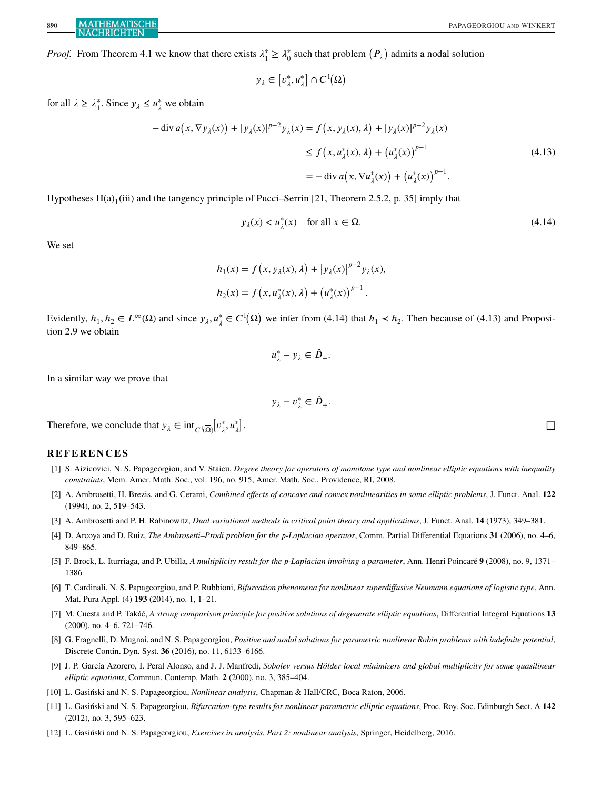*Proof.* From Theorem 4.1 we know that there exists  $\lambda_1^* \ge \lambda_0^*$  such that problem  $(P_\lambda)$  admits a nodal solution

$$
y_\lambda\in \left[v^*_\lambda,u^*_\lambda\right]\cap C^1(\overline{\Omega})
$$

for all  $\lambda \geq \lambda_1^*$ . Since  $y_{\lambda} \leq u_{\lambda}^*$  we obtain

$$
-\operatorname{div} a(x, \nabla y_{\lambda}(x)) + |y_{\lambda}(x)|^{p-2} y_{\lambda}(x) = f(x, y_{\lambda}(x), \lambda) + |y_{\lambda}(x)|^{p-2} y_{\lambda}(x)
$$
  
\n
$$
\leq f(x, u_{\lambda}^{*}(x), \lambda) + (u_{\lambda}^{*}(x))^{p-1}
$$
  
\n
$$
= -\operatorname{div} a(x, \nabla u_{\lambda}^{*}(x)) + (u_{\lambda}^{*}(x))^{p-1}.
$$
\n(4.13)

Hypotheses  $H(a)$ <sub>1</sub>(iii) and the tangency principle of Pucci–Serrin [21, Theorem 2.5.2, p. 35] imply that

$$
y_{\lambda}(x) < u_{\lambda}^*(x) \quad \text{for all } x \in \Omega. \tag{4.14}
$$

We set

$$
h_1(x) = f(x, y_\lambda(x), \lambda) + |y_\lambda(x)|^{p-2} y_\lambda(x),
$$
  

$$
h_2(x) = f(x, u_\lambda^*(x), \lambda) + (u_\lambda^*(x))^{p-1}.
$$

Evidently,  $h_1, h_2 \in L^{\infty}(\Omega)$  and since  $y_{\lambda}, u_{\lambda}^* \in C^1(\overline{\Omega})$  we infer from (4.14) that  $h_1 \prec h_2$ . Then because of (4.13) and Proposition 2.9 we obtain

$$
u_{\lambda}^*-y_{\lambda}\in \hat{D}_+.
$$

In a similar way we prove that

$$
y_\lambda-v^*_\lambda\in \hat{D}_+.
$$

Therefore, we conclude that  $y_{\lambda} \in \text{int}_{C^{1}(\overline{\Omega})}[v_{\lambda}^{*}, u_{\lambda}^{*}]$ 

#### **REFERENCES**

- [1] S. Aizicovici, N. S. Papageorgiou, and V. Staicu, *Degree theory for operators of monotone type and nonlinear elliptic equations with inequality constraints*, Mem. Amer. Math. Soc., vol. 196, no. 915, Amer. Math. Soc., Providence, RI, 2008.
- [2] A. Ambrosetti, H. Brezis, and G. Cerami, *Combined effects of concave and convex nonlinearities in some elliptic problems*, J. Funct. Anal. **122** (1994), no. 2, 519–543.
- [3] A. Ambrosetti and P. H. Rabinowitz, *Dual variational methods in critical point theory and applications*, J. Funct. Anal. **14** (1973), 349–381.
- [4] D. Arcoya and D. Ruiz, *The Ambrosetti–Prodi problem for the -Laplacian operator*, Comm. Partial Differential Equations **31** (2006), no. 4–6, 849–865.
- [5] F. Brock, L. Iturriaga, and P. Ubilla, *A multiplicity result for the -Laplacian involving a parameter*, Ann. Henri Poincaré **9** (2008), no. 9, 1371– 1386
- [6] T. Cardinali, N. S. Papageorgiou, and P. Rubbioni, *Bifurcation phenomena for nonlinear superdiffusive Neumann equations of logistic type*, Ann. Mat. Pura Appl. (4) **193** (2014), no. 1, 1–21.
- [7] M. Cuesta and P. Takáč, *A strong comparison principle for positive solutions of degenerate elliptic equations*, Differential Integral Equations **13** (2000), no. 4–6, 721–746.
- [8] G. Fragnelli, D. Mugnai, and N. S. Papageorgiou, *Positive and nodal solutions for parametric nonlinear Robin problems with indefinite potential*, Discrete Contin. Dyn. Syst. **36** (2016), no. 11, 6133–6166.
- [9] J. P. García Azorero, I. Peral Alonso, and J. J. Manfredi, *Sobolev versus Hölder local minimizers and global multiplicity for some quasilinear elliptic equations*, Commun. Contemp. Math. **2** (2000), no. 3, 385–404.
- [10] L. Gasiński and N. S. Papageorgiou, *Nonlinear analysis*, Chapman & Hall/CRC, Boca Raton, 2006.
- [11] L. Gasiński and N. S. Papageorgiou, *Bifurcation-type results for nonlinear parametric elliptic equations*, Proc. Roy. Soc. Edinburgh Sect. A **142** (2012), no. 3, 595–623.
- [12] L. Gasiński and N. S. Papageorgiou, *Exercises in analysis. Part 2: nonlinear analysis*, Springer, Heidelberg, 2016.

. □